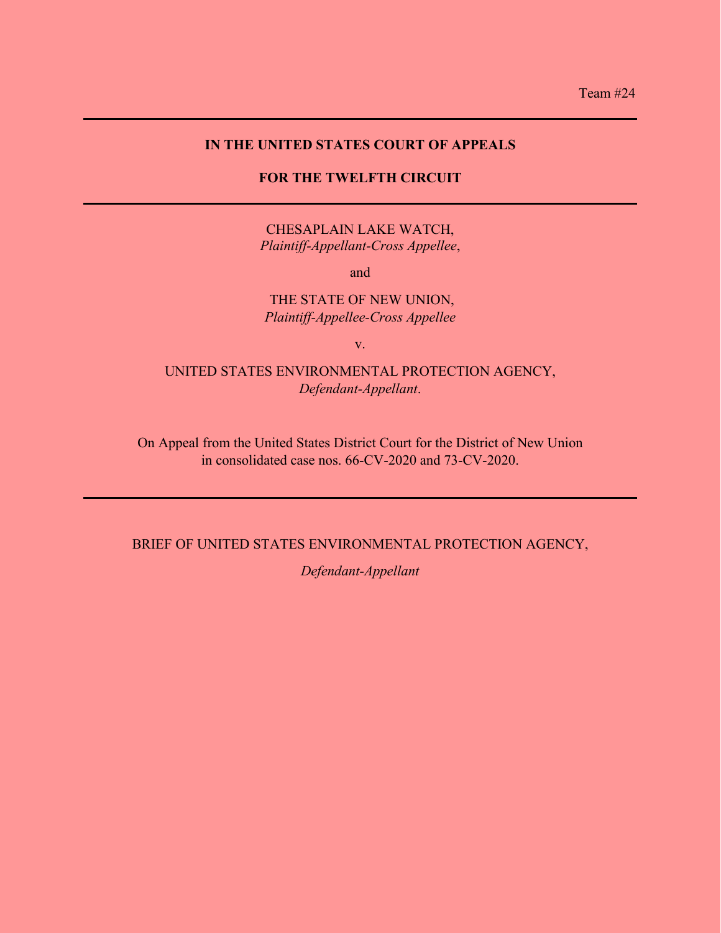## **IN THE UNITED STATES COURT OF APPEALS**

## **FOR THE TWELFTH CIRCUIT**

CHESAPLAIN LAKE WATCH, *Plaintiff-Appellant-Cross Appellee*,

and

## THE STATE OF NEW UNION, *Plaintiff-Appellee-Cross Appellee*

v.

## UNITED STATES ENVIRONMENTAL PROTECTION AGENCY, *Defendant-Appellant*.

On Appeal from the United States District Court for the District of New Union in consolidated case nos. 66-CV-2020 and 73-CV-2020.

## BRIEF OF UNITED STATES ENVIRONMENTAL PROTECTION AGENCY,

*Defendant-Appellant*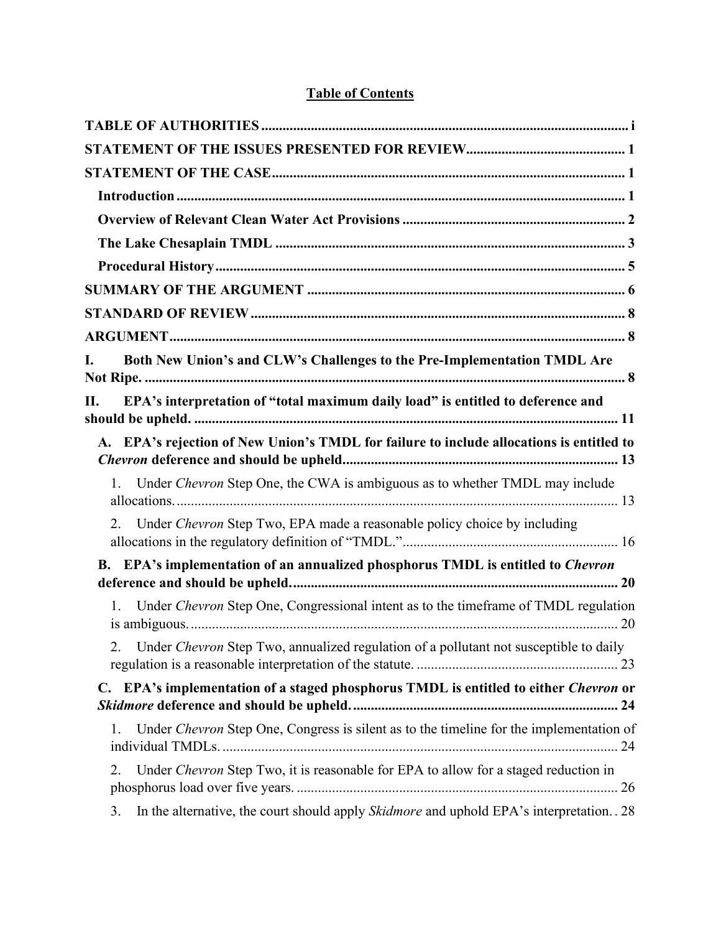# **Table of Contents**

| I.             | Both New Union's and CLW's Challenges to the Pre-Implementation TMDL Are                  |
|----------------|-------------------------------------------------------------------------------------------|
| П.             | EPA's interpretation of "total maximum daily load" is entitled to deference and           |
|                | A. EPA's rejection of New Union's TMDL for failure to include allocations is entitled to  |
| 1.             | Under Chevron Step One, the CWA is ambiguous as to whether TMDL may include               |
| 2.             | Under Chevron Step Two, EPA made a reasonable policy choice by including                  |
|                | B. EPA's implementation of an annualized phosphorus TMDL is entitled to Chevron           |
| $\mathbf{1}$ . | Under Chevron Step One, Congressional intent as to the timeframe of TMDL regulation       |
|                | 2. Under Chevron Step Two, annualized regulation of a pollutant not susceptible to daily  |
|                | C. EPA's implementation of a staged phosphorus TMDL is entitled to either Chevron or      |
| 1.             | Under Chevron Step One, Congress is silent as to the timeline for the implementation of   |
| 2.             | Under Chevron Step Two, it is reasonable for EPA to allow for a staged reduction in       |
| 3.             | In the alternative, the court should apply Skidmore and uphold EPA's interpretation. . 28 |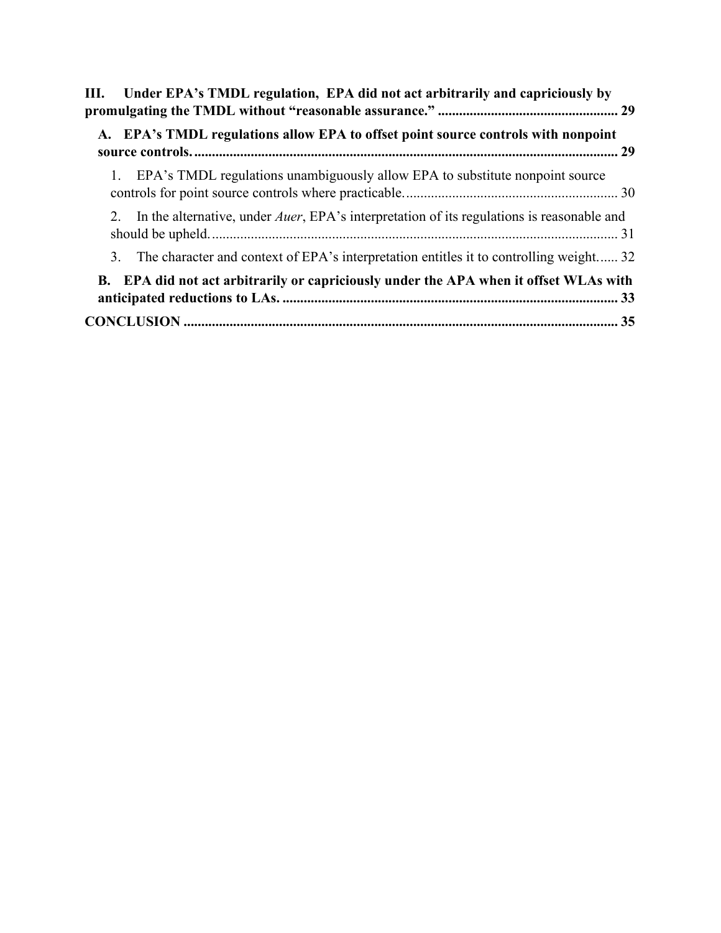| III. Under EPA's TMDL regulation, EPA did not act arbitrarily and capriciously by                    |
|------------------------------------------------------------------------------------------------------|
| A. EPA's TMDL regulations allow EPA to offset point source controls with nonpoint                    |
| 1. EPA's TMDL regulations unambiguously allow EPA to substitute nonpoint source                      |
| 2. In the alternative, under <i>Auer</i> , EPA's interpretation of its regulations is reasonable and |
| 3. The character and context of EPA's interpretation entitles it to controlling weight 32            |
| B. EPA did not act arbitrarily or capriciously under the APA when it offset WLAs with                |
|                                                                                                      |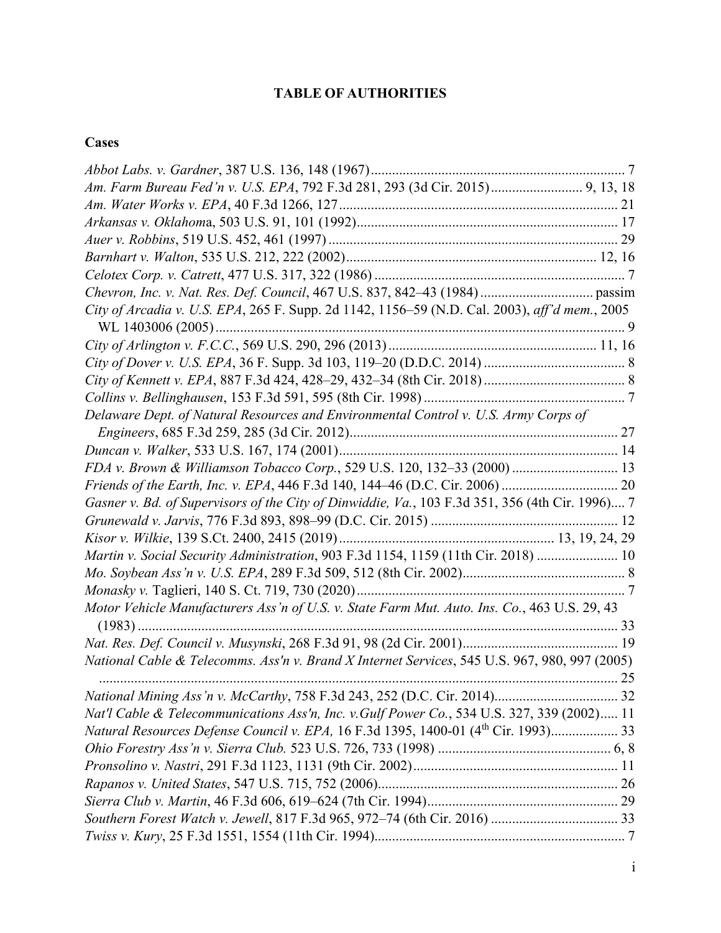# **TABLE OF AUTHORITIES**

# <span id="page-3-0"></span>**Cases**

| Am. Farm Bureau Fed'n v. U.S. EPA, 792 F.3d 281, 293 (3d Cir. 2015) 9, 13, 18                   |  |
|-------------------------------------------------------------------------------------------------|--|
|                                                                                                 |  |
|                                                                                                 |  |
|                                                                                                 |  |
|                                                                                                 |  |
|                                                                                                 |  |
|                                                                                                 |  |
| City of Arcadia v. U.S. EPA, 265 F. Supp. 2d 1142, 1156-59 (N.D. Cal. 2003), aff'd mem., 2005   |  |
|                                                                                                 |  |
|                                                                                                 |  |
|                                                                                                 |  |
|                                                                                                 |  |
|                                                                                                 |  |
| Delaware Dept. of Natural Resources and Environmental Control v. U.S. Army Corps of             |  |
|                                                                                                 |  |
|                                                                                                 |  |
| FDA v. Brown & Williamson Tobacco Corp., 529 U.S. 120, 132-33 (2000) 13                         |  |
|                                                                                                 |  |
| Gasner v. Bd. of Supervisors of the City of Dinwiddie, Va., 103 F.3d 351, 356 (4th Cir. 1996) 7 |  |
|                                                                                                 |  |
|                                                                                                 |  |
| Martin v. Social Security Administration, 903 F.3d 1154, 1159 (11th Cir. 2018)  10              |  |
|                                                                                                 |  |
|                                                                                                 |  |
| Motor Vehicle Manufacturers Ass'n of U.S. v. State Farm Mut. Auto. Ins. Co., 463 U.S. 29, 43    |  |
|                                                                                                 |  |
|                                                                                                 |  |
| National Cable & Telecomms. Ass'n v. Brand X Internet Services, 545 U.S. 967, 980, 997 (2005)   |  |
|                                                                                                 |  |
| Nat'l Cable & Telecommunications Ass'n, Inc. v. Gulf Power Co., 534 U.S. 327, 339 (2002) 11     |  |
| Natural Resources Defense Council v. EPA, 16 F.3d 1395, 1400-01 (4th Cir. 1993) 33              |  |
|                                                                                                 |  |
|                                                                                                 |  |
|                                                                                                 |  |
|                                                                                                 |  |
|                                                                                                 |  |
|                                                                                                 |  |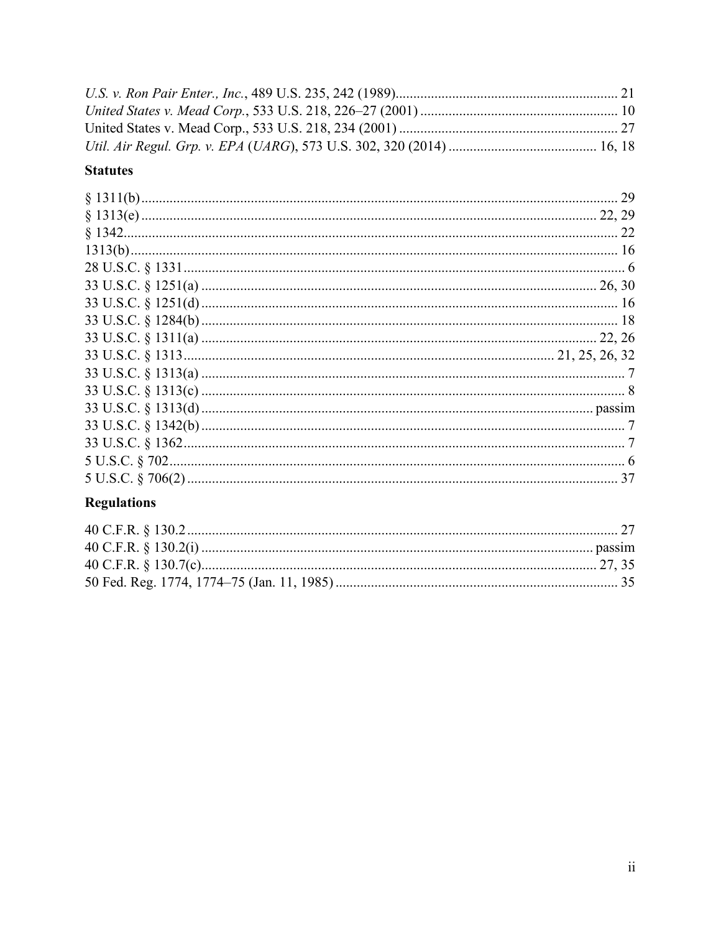# **Statutes**

# **Regulations**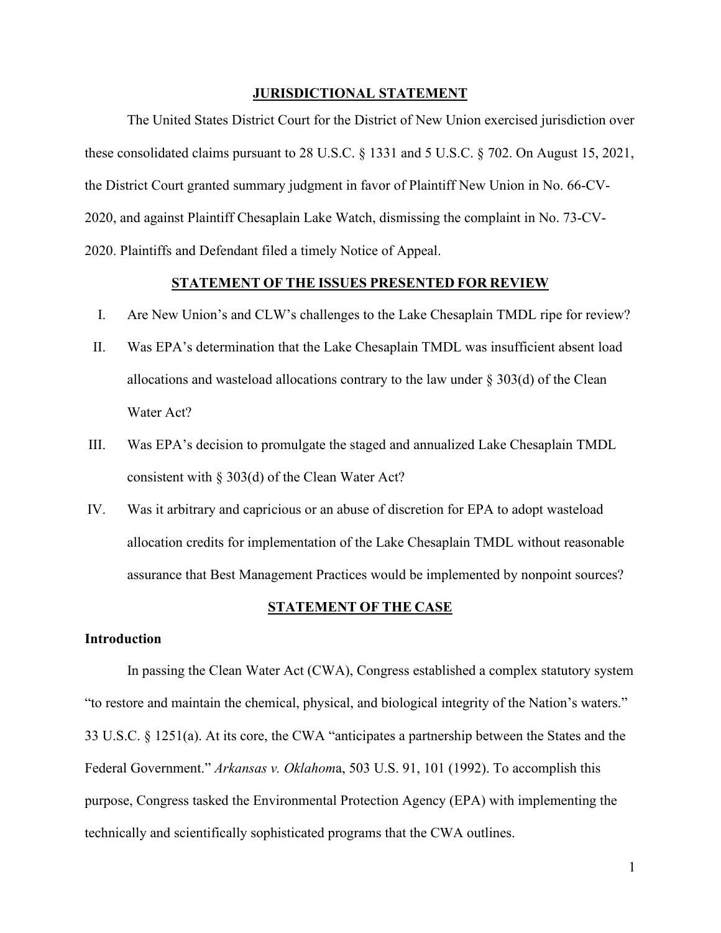### **JURISDICTIONAL STATEMENT**

The United States District Court for the District of New Union exercised jurisdiction over these consolidated claims pursuant to 28 U.S.C. § 1331 and 5 U.S.C. § 702. On August 15, 2021, the District Court granted summary judgment in favor of Plaintiff New Union in No. 66-CV-2020, and against Plaintiff Chesaplain Lake Watch, dismissing the complaint in No. 73-CV-2020. Plaintiffs and Defendant filed a timely Notice of Appeal.

### **STATEMENT OF THE ISSUES PRESENTED FOR REVIEW**

- <span id="page-5-0"></span>I. Are New Union's and CLW's challenges to the Lake Chesaplain TMDL ripe for review?
- II. Was EPA's determination that the Lake Chesaplain TMDL was insufficient absent load allocations and wasteload allocations contrary to the law under  $\S 303(d)$  of the Clean Water Act?
- III. Was EPA's decision to promulgate the staged and annualized Lake Chesaplain TMDL consistent with § 303(d) of the Clean Water Act?
- IV. Was it arbitrary and capricious or an abuse of discretion for EPA to adopt wasteload allocation credits for implementation of the Lake Chesaplain TMDL without reasonable assurance that Best Management Practices would be implemented by nonpoint sources?

#### **STATEMENT OF THE CASE**

### <span id="page-5-2"></span><span id="page-5-1"></span>**Introduction**

In passing the Clean Water Act (CWA), Congress established a complex statutory system "to restore and maintain the chemical, physical, and biological integrity of the Nation's waters." 33 U.S.C. § 1251(a). At its core, the CWA "anticipates a partnership between the States and the Federal Government." *Arkansas v. Oklahom*a, 503 U.S. 91, 101 (1992). To accomplish this purpose, Congress tasked the Environmental Protection Agency (EPA) with implementing the technically and scientifically sophisticated programs that the CWA outlines.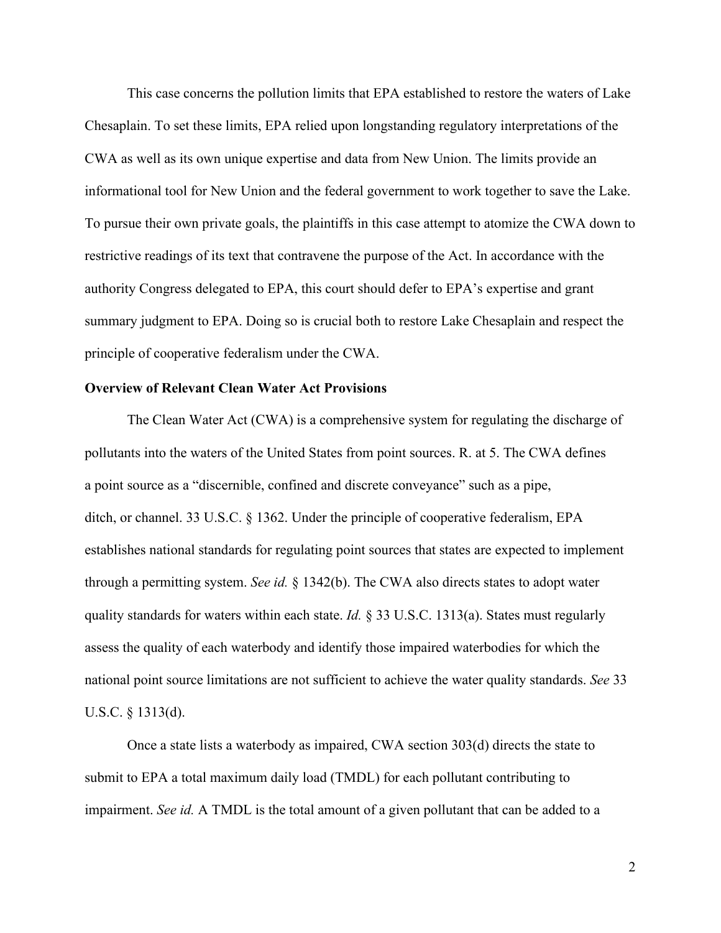This case concerns the pollution limits that EPA established to restore the waters of Lake Chesaplain. To set these limits, EPA relied upon longstanding regulatory interpretations of the CWA as well as its own unique expertise and data from New Union. The limits provide an informational tool for New Union and the federal government to work together to save the Lake. To pursue their own private goals, the plaintiffs in this case attempt to atomize the CWA down to restrictive readings of its text that contravene the purpose of the Act. In accordance with the authority Congress delegated to EPA, this court should defer to EPA's expertise and grant summary judgment to EPA. Doing so is crucial both to restore Lake Chesaplain and respect the principle of cooperative federalism under the CWA.

## <span id="page-6-0"></span>**Overview of Relevant Clean Water Act Provisions**

The Clean Water Act (CWA) is a comprehensive system for regulating the discharge of pollutants into the waters of the United States from point sources. R. at 5. The CWA defines a point source as a "discernible, confined and discrete conveyance" such as a pipe, ditch, or channel. 33 U.S.C. § 1362. Under the principle of cooperative federalism, EPA establishes national standards for regulating point sources that states are expected to implement through a permitting system. *See id.* § 1342(b). The CWA also directs states to adopt water quality standards for waters within each state. *Id.* § 33 U.S.C. 1313(a). States must regularly assess the quality of each waterbody and identify those impaired waterbodies for which the national point source limitations are not sufficient to achieve the water quality standards. *See* 33 U.S.C. § 1313(d).

Once a state lists a waterbody as impaired, CWA section 303(d) directs the state to submit to EPA a total maximum daily load (TMDL) for each pollutant contributing to impairment. *See id.* A TMDL is the total amount of a given pollutant that can be added to a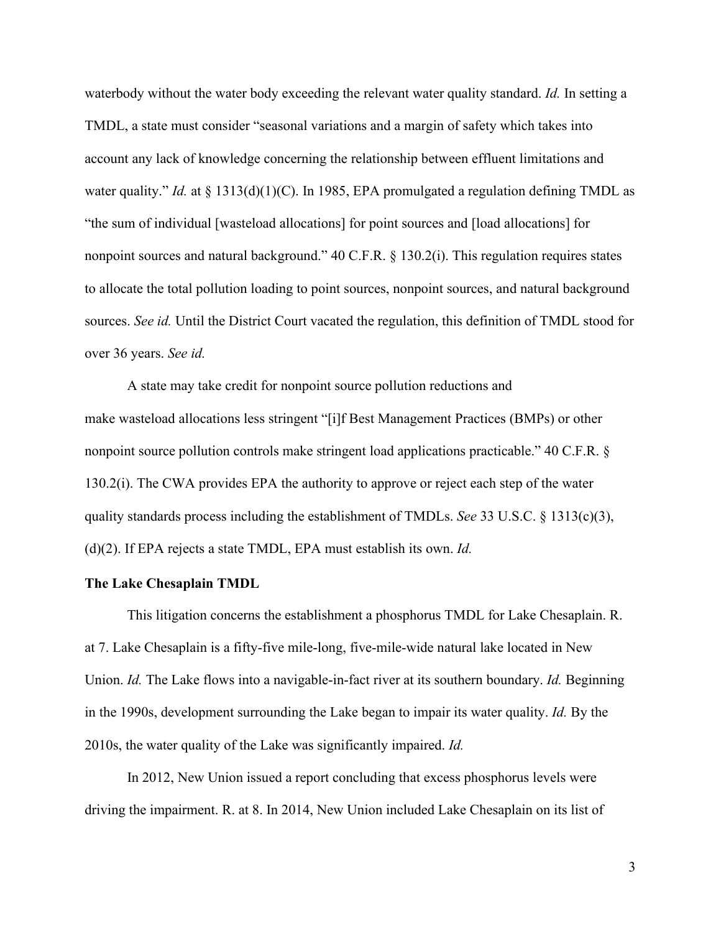waterbody without the water body exceeding the relevant water quality standard. *Id.* In setting a TMDL, a state must consider "seasonal variations and a margin of safety which takes into account any lack of knowledge concerning the relationship between effluent limitations and water quality." *Id.* at § 1313(d)(1)(C). In 1985, EPA promulgated a regulation defining TMDL as "the sum of individual [wasteload allocations] for point sources and [load allocations] for nonpoint sources and natural background." 40 C.F.R. § 130.2(i). This regulation requires states to allocate the total pollution loading to point sources, nonpoint sources, and natural background sources. *See id.* Until the District Court vacated the regulation, this definition of TMDL stood for over 36 years. *See id.*

A state may take credit for nonpoint source pollution reductions and make wasteload allocations less stringent "[i]f Best Management Practices (BMPs) or other nonpoint source pollution controls make stringent load applications practicable." 40 C.F.R. § 130.2(i). The CWA provides EPA the authority to approve or reject each step of the water quality standards process including the establishment of TMDLs. *See* 33 U.S.C. § 1313(c)(3), (d)(2). If EPA rejects a state TMDL, EPA must establish its own. *Id.*

### <span id="page-7-0"></span>**The Lake Chesaplain TMDL**

This litigation concerns the establishment a phosphorus TMDL for Lake Chesaplain. R. at 7. Lake Chesaplain is a fifty-five mile-long, five-mile-wide natural lake located in New Union. *Id.* The Lake flows into a navigable-in-fact river at its southern boundary. *Id.* Beginning in the 1990s, development surrounding the Lake began to impair its water quality. *Id.* By the 2010s, the water quality of the Lake was significantly impaired. *Id.*

In 2012, New Union issued a report concluding that excess phosphorus levels were driving the impairment. R. at 8. In 2014, New Union included Lake Chesaplain on its list of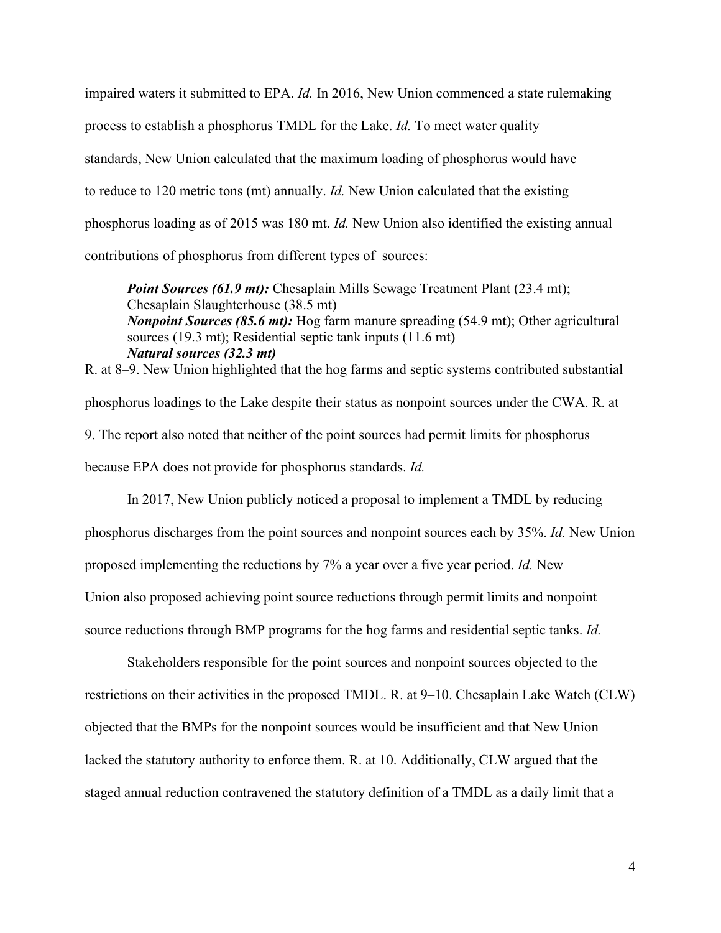impaired waters it submitted to EPA. *Id.* In 2016, New Union commenced a state rulemaking process to establish a phosphorus TMDL for the Lake. *Id.* To meet water quality standards, New Union calculated that the maximum loading of phosphorus would have to reduce to 120 metric tons (mt) annually. *Id.* New Union calculated that the existing phosphorus loading as of 2015 was 180 mt. *Id.* New Union also identified the existing annual contributions of phosphorus from different types of sources:

*Point Sources (61.9 mt):* Chesaplain Mills Sewage Treatment Plant (23.4 mt); Chesaplain Slaughterhouse (38.5 mt) *Nonpoint Sources (85.6 mt)*: Hog farm manure spreading (54.9 mt); Other agricultural sources (19.3 mt); Residential septic tank inputs (11.6 mt) *Natural sources (32.3 mt)*

R. at 8–9. New Union highlighted that the hog farms and septic systems contributed substantial phosphorus loadings to the Lake despite their status as nonpoint sources under the CWA. R. at 9. The report also noted that neither of the point sources had permit limits for phosphorus because EPA does not provide for phosphorus standards. *Id.*

In 2017, New Union publicly noticed a proposal to implement a TMDL by reducing phosphorus discharges from the point sources and nonpoint sources each by 35%. *Id.* New Union proposed implementing the reductions by 7% a year over a five year period. *Id.* New Union also proposed achieving point source reductions through permit limits and nonpoint source reductions through BMP programs for the hog farms and residential septic tanks. *Id.*

Stakeholders responsible for the point sources and nonpoint sources objected to the restrictions on their activities in the proposed TMDL. R. at 9–10. Chesaplain Lake Watch (CLW) objected that the BMPs for the nonpoint sources would be insufficient and that New Union lacked the statutory authority to enforce them. R. at 10. Additionally, CLW argued that the staged annual reduction contravened the statutory definition of a TMDL as a daily limit that a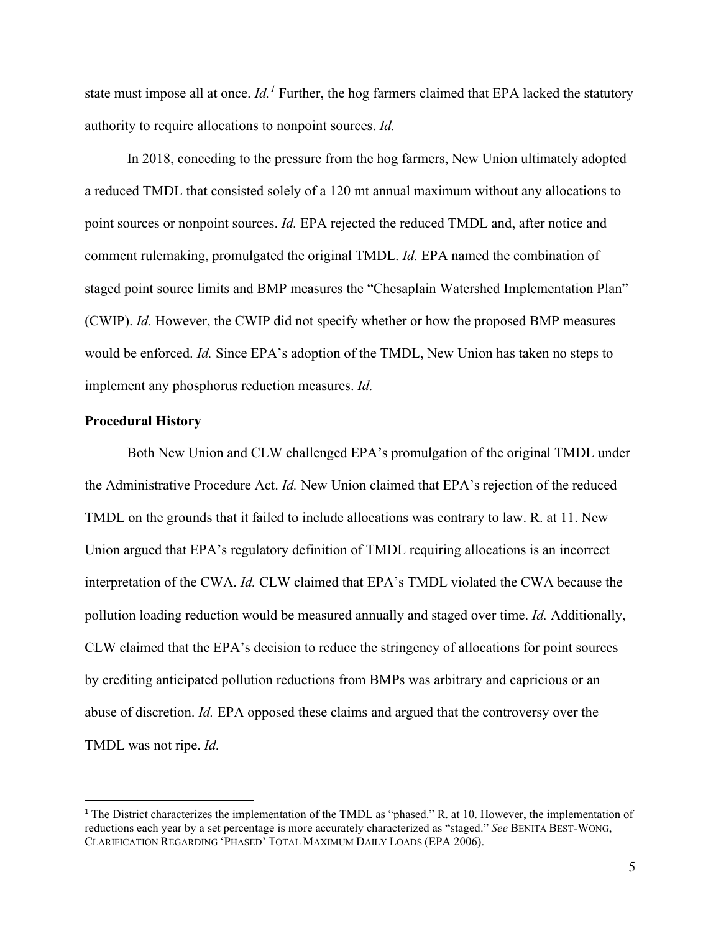state must impose all at once. *Id.[1](#page-9-1)* Further, the hog farmers claimed that EPA lacked the statutory authority to require allocations to nonpoint sources. *Id.*

In 2018, conceding to the pressure from the hog farmers, New Union ultimately adopted a reduced TMDL that consisted solely of a 120 mt annual maximum without any allocations to point sources or nonpoint sources. *Id.* EPA rejected the reduced TMDL and, after notice and comment rulemaking, promulgated the original TMDL. *Id.* EPA named the combination of staged point source limits and BMP measures the "Chesaplain Watershed Implementation Plan" (CWIP). *Id.* However, the CWIP did not specify whether or how the proposed BMP measures would be enforced. *Id.* Since EPA's adoption of the TMDL, New Union has taken no steps to implement any phosphorus reduction measures. *Id.*

## <span id="page-9-0"></span>**Procedural History**

Both New Union and CLW challenged EPA's promulgation of the original TMDL under the Administrative Procedure Act. *Id.* New Union claimed that EPA's rejection of the reduced TMDL on the grounds that it failed to include allocations was contrary to law. R. at 11. New Union argued that EPA's regulatory definition of TMDL requiring allocations is an incorrect interpretation of the CWA. *Id.* CLW claimed that EPA's TMDL violated the CWA because the pollution loading reduction would be measured annually and staged over time. *Id.* Additionally, CLW claimed that the EPA's decision to reduce the stringency of allocations for point sources by crediting anticipated pollution reductions from BMPs was arbitrary and capricious or an abuse of discretion. *Id.* EPA opposed these claims and argued that the controversy over the TMDL was not ripe. *Id.*

<span id="page-9-1"></span><sup>&</sup>lt;sup>1</sup> The District characterizes the implementation of the TMDL as "phased." R. at 10. However, the implementation of reductions each year by a set percentage is more accurately characterized as "staged." *See* BENITA BEST-WONG, CLARIFICATION REGARDING 'PHASED' TOTAL MAXIMUM DAILY LOADS (EPA 2006).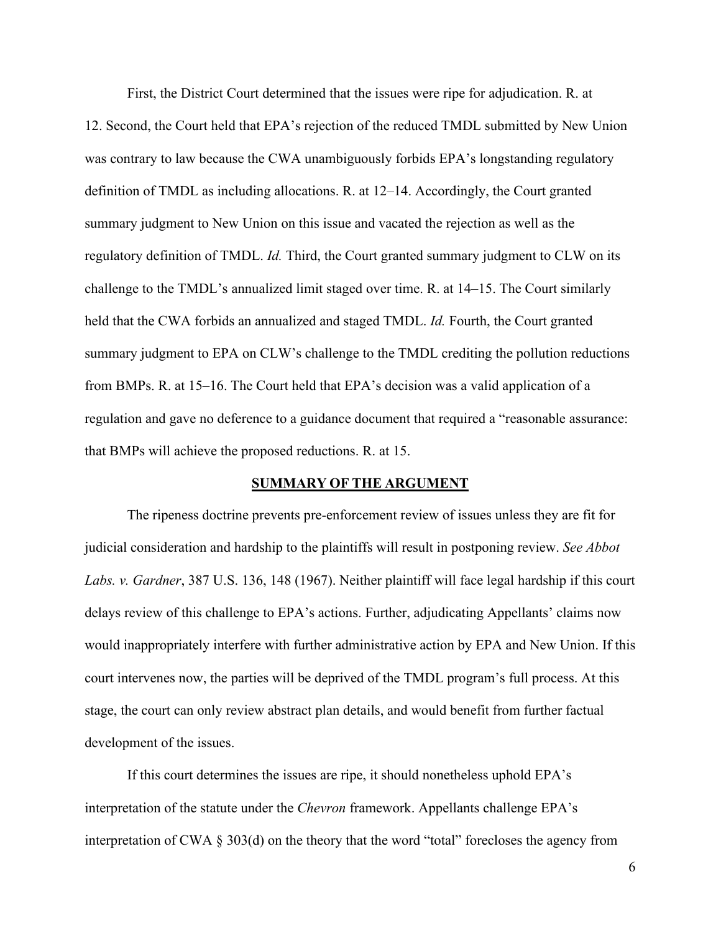First, the District Court determined that the issues were ripe for adjudication. R. at

12. Second, the Court held that EPA's rejection of the reduced TMDL submitted by New Union was contrary to law because the CWA unambiguously forbids EPA's longstanding regulatory definition of TMDL as including allocations. R. at 12–14. Accordingly, the Court granted summary judgment to New Union on this issue and vacated the rejection as well as the regulatory definition of TMDL. *Id.* Third, the Court granted summary judgment to CLW on its challenge to the TMDL's annualized limit staged over time. R. at 14–15. The Court similarly held that the CWA forbids an annualized and staged TMDL. *Id.* Fourth, the Court granted summary judgment to EPA on CLW's challenge to the TMDL crediting the pollution reductions from BMPs. R. at 15–16. The Court held that EPA's decision was a valid application of a regulation and gave no deference to a guidance document that required a "reasonable assurance: that BMPs will achieve the proposed reductions. R. at 15.

#### **SUMMARY OF THE ARGUMENT**

<span id="page-10-0"></span>The ripeness doctrine prevents pre-enforcement review of issues unless they are fit for judicial consideration and hardship to the plaintiffs will result in postponing review. *See Abbot Labs. v. Gardner*, 387 U.S. 136, 148 (1967). Neither plaintiff will face legal hardship if this court delays review of this challenge to EPA's actions. Further, adjudicating Appellants' claims now would inappropriately interfere with further administrative action by EPA and New Union. If this court intervenes now, the parties will be deprived of the TMDL program's full process. At this stage, the court can only review abstract plan details, and would benefit from further factual development of the issues.

If this court determines the issues are ripe, it should nonetheless uphold EPA's interpretation of the statute under the *Chevron* framework. Appellants challenge EPA's interpretation of CWA § 303(d) on the theory that the word "total" forecloses the agency from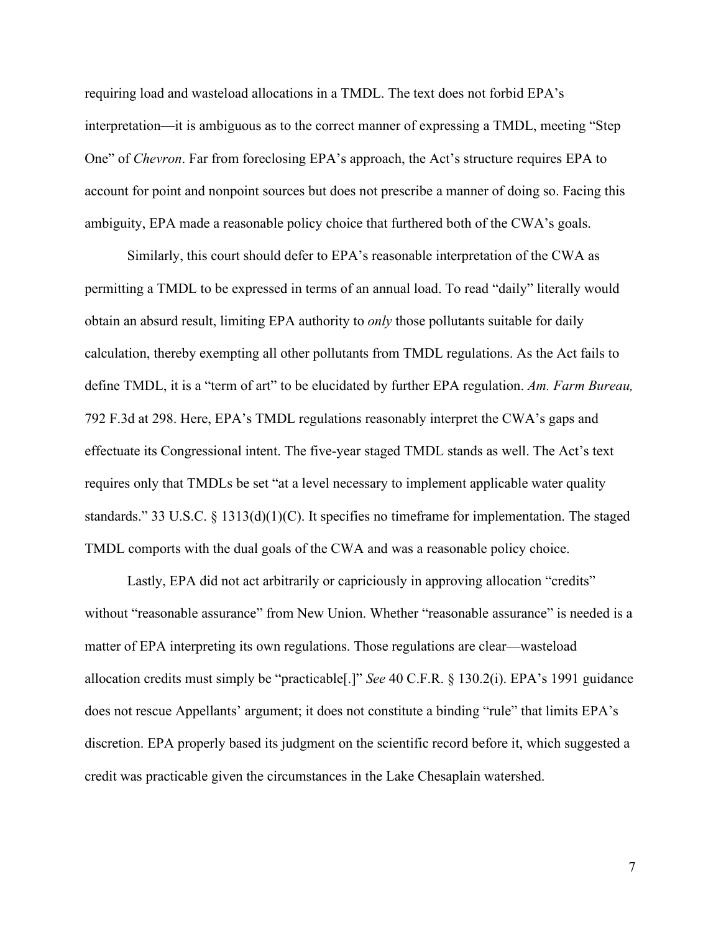requiring load and wasteload allocations in a TMDL. The text does not forbid EPA's interpretation—it is ambiguous as to the correct manner of expressing a TMDL, meeting "Step One" of *Chevron*. Far from foreclosing EPA's approach, the Act's structure requires EPA to account for point and nonpoint sources but does not prescribe a manner of doing so. Facing this ambiguity, EPA made a reasonable policy choice that furthered both of the CWA's goals.

Similarly, this court should defer to EPA's reasonable interpretation of the CWA as permitting a TMDL to be expressed in terms of an annual load. To read "daily" literally would obtain an absurd result, limiting EPA authority to *only* those pollutants suitable for daily calculation, thereby exempting all other pollutants from TMDL regulations. As the Act fails to define TMDL, it is a "term of art" to be elucidated by further EPA regulation. *Am. Farm Bureau,*  792 F.3d at 298. Here, EPA's TMDL regulations reasonably interpret the CWA's gaps and effectuate its Congressional intent. The five-year staged TMDL stands as well. The Act's text requires only that TMDLs be set "at a level necessary to implement applicable water quality standards." 33 U.S.C. § 1313(d)(1)(C). It specifies no timeframe for implementation. The staged TMDL comports with the dual goals of the CWA and was a reasonable policy choice.

Lastly, EPA did not act arbitrarily or capriciously in approving allocation "credits" without "reasonable assurance" from New Union. Whether "reasonable assurance" is needed is a matter of EPA interpreting its own regulations. Those regulations are clear—wasteload allocation credits must simply be "practicable[.]" *See* 40 C.F.R. § 130.2(i). EPA's 1991 guidance does not rescue Appellants' argument; it does not constitute a binding "rule" that limits EPA's discretion. EPA properly based its judgment on the scientific record before it, which suggested a credit was practicable given the circumstances in the Lake Chesaplain watershed.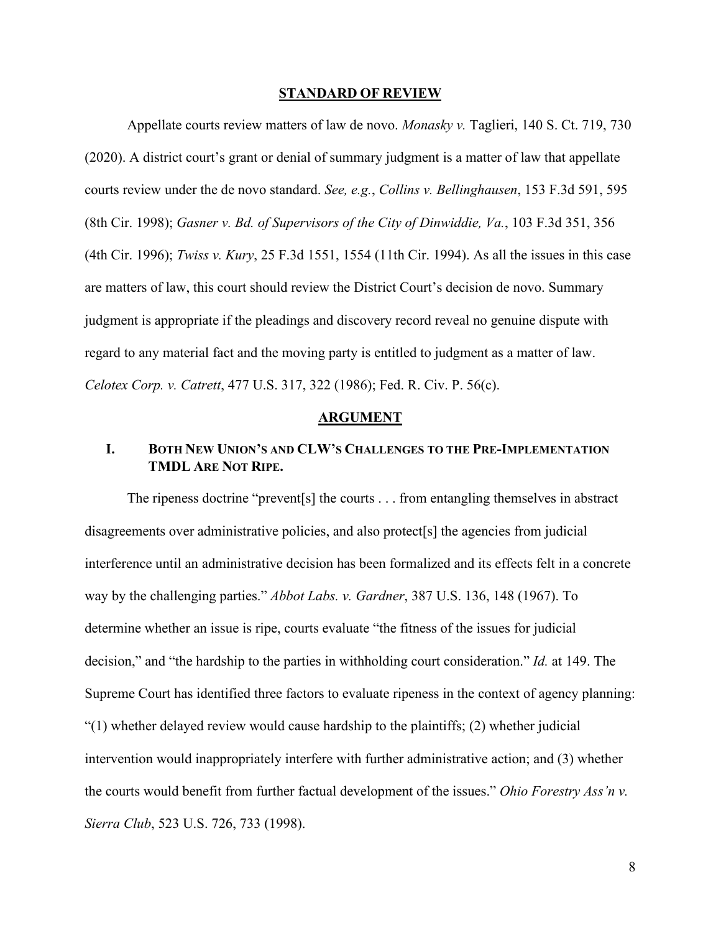#### **STANDARD OF REVIEW**

<span id="page-12-0"></span>Appellate courts review matters of law de novo. *Monasky v.* Taglieri, 140 S. Ct. 719, 730 (2020). A district court's grant or denial of summary judgment is a matter of law that appellate courts review under the de novo standard. *See, e.g.*, *Collins v. Bellinghausen*, 153 F.3d 591, 595 (8th Cir. 1998); *Gasner v. Bd. of Supervisors of the City of Dinwiddie, Va.*, 103 F.3d 351, 356 (4th Cir. 1996); *Twiss v. Kury*, 25 F.3d 1551, 1554 (11th Cir. 1994). As all the issues in this case are matters of law, this court should review the District Court's decision de novo. Summary judgment is appropriate if the pleadings and discovery record reveal no genuine dispute with regard to any material fact and the moving party is entitled to judgment as a matter of law. *Celotex Corp. v. Catrett*, 477 U.S. 317, 322 (1986); Fed. R. Civ. P. 56(c).

#### **ARGUMENT**

## <span id="page-12-2"></span><span id="page-12-1"></span>**I. BOTH NEW UNION'S AND CLW'S CHALLENGES TO THE PRE-IMPLEMENTATION TMDL ARE NOT RIPE.**

The ripeness doctrine "prevent[s] the courts . . . from entangling themselves in abstract disagreements over administrative policies, and also protect<sup>[s]</sup> the agencies from judicial interference until an administrative decision has been formalized and its effects felt in a concrete way by the challenging parties." *Abbot Labs. v. Gardner*, 387 U.S. 136, 148 (1967). To determine whether an issue is ripe, courts evaluate "the fitness of the issues for judicial decision," and "the hardship to the parties in withholding court consideration." *Id.* at 149. The Supreme Court has identified three factors to evaluate ripeness in the context of agency planning:  $(1)$  whether delayed review would cause hardship to the plaintiffs; (2) whether judicial intervention would inappropriately interfere with further administrative action; and (3) whether the courts would benefit from further factual development of the issues." *Ohio Forestry Ass'n v. Sierra Club*, 523 U.S. 726, 733 (1998).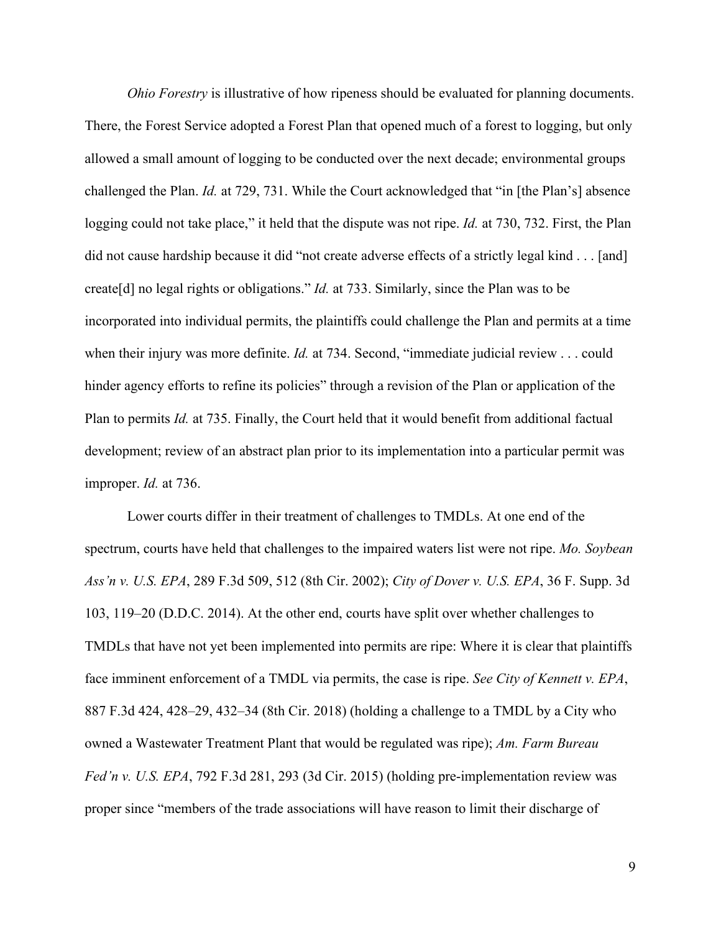*Ohio Forestry* is illustrative of how ripeness should be evaluated for planning documents. There, the Forest Service adopted a Forest Plan that opened much of a forest to logging, but only allowed a small amount of logging to be conducted over the next decade; environmental groups challenged the Plan. *Id.* at 729, 731. While the Court acknowledged that "in [the Plan's] absence logging could not take place," it held that the dispute was not ripe. *Id.* at 730, 732. First, the Plan did not cause hardship because it did "not create adverse effects of a strictly legal kind . . . [and] create[d] no legal rights or obligations." *Id.* at 733. Similarly, since the Plan was to be incorporated into individual permits, the plaintiffs could challenge the Plan and permits at a time when their injury was more definite. *Id.* at 734. Second, "immediate judicial review . . . could hinder agency efforts to refine its policies" through a revision of the Plan or application of the Plan to permits *Id.* at 735. Finally, the Court held that it would benefit from additional factual development; review of an abstract plan prior to its implementation into a particular permit was improper. *Id.* at 736.

Lower courts differ in their treatment of challenges to TMDLs. At one end of the spectrum, courts have held that challenges to the impaired waters list were not ripe. *Mo. Soybean Ass'n v. U.S. EPA*, 289 F.3d 509, 512 (8th Cir. 2002); *City of Dover v. U.S. EPA*, 36 F. Supp. 3d 103, 119–20 (D.D.C. 2014). At the other end, courts have split over whether challenges to TMDLs that have not yet been implemented into permits are ripe: Where it is clear that plaintiffs face imminent enforcement of a TMDL via permits, the case is ripe. *See City of Kennett v. EPA*, 887 F.3d 424, 428–29, 432–34 (8th Cir. 2018) (holding a challenge to a TMDL by a City who owned a Wastewater Treatment Plant that would be regulated was ripe); *Am. Farm Bureau Fed'n v. U.S. EPA*, 792 F.3d 281, 293 (3d Cir. 2015) (holding pre-implementation review was proper since "members of the trade associations will have reason to limit their discharge of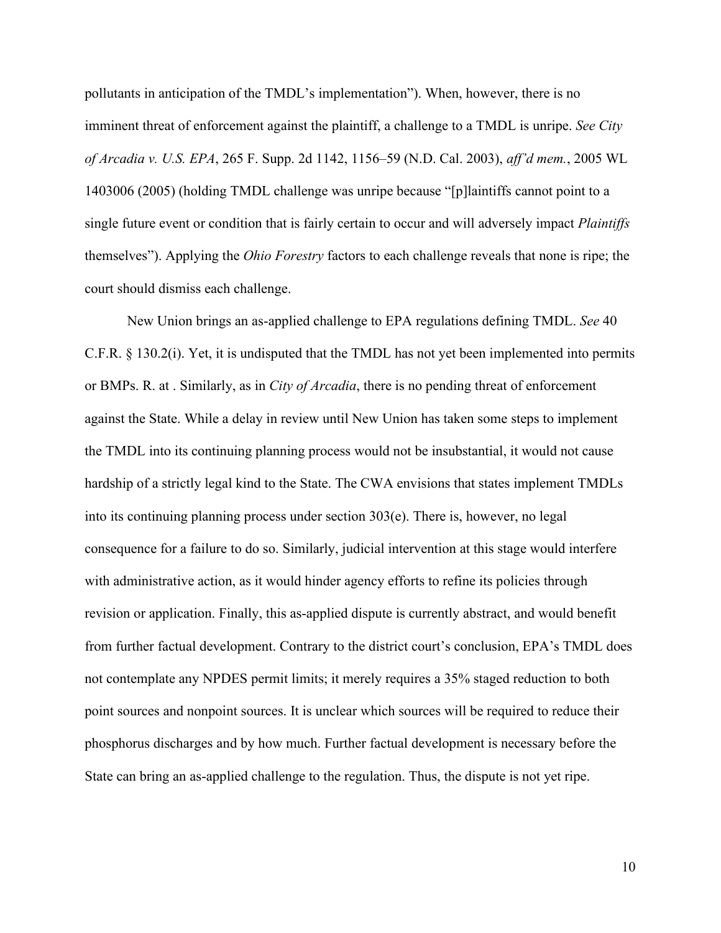pollutants in anticipation of the TMDL's implementation"). When, however, there is no imminent threat of enforcement against the plaintiff, a challenge to a TMDL is unripe. *See City of Arcadia v. U.S. EPA*, 265 F. Supp. 2d 1142, 1156–59 (N.D. Cal. 2003), *aff'd mem.*, 2005 WL 1403006 (2005) (holding TMDL challenge was unripe because "[p]laintiffs cannot point to a single future event or condition that is fairly certain to occur and will adversely impact *Plaintiffs*  themselves"). Applying the *Ohio Forestry* factors to each challenge reveals that none is ripe; the court should dismiss each challenge.

New Union brings an as-applied challenge to EPA regulations defining TMDL. *See* 40 C.F.R. § 130.2(i). Yet, it is undisputed that the TMDL has not yet been implemented into permits or BMPs. R. at . Similarly, as in *City of Arcadia*, there is no pending threat of enforcement against the State. While a delay in review until New Union has taken some steps to implement the TMDL into its continuing planning process would not be insubstantial, it would not cause hardship of a strictly legal kind to the State. The CWA envisions that states implement TMDLs into its continuing planning process under section  $303(e)$ . There is, however, no legal consequence for a failure to do so. Similarly, judicial intervention at this stage would interfere with administrative action, as it would hinder agency efforts to refine its policies through revision or application. Finally, this as-applied dispute is currently abstract, and would benefit from further factual development. Contrary to the district court's conclusion, EPA's TMDL does not contemplate any NPDES permit limits; it merely requires a 35% staged reduction to both point sources and nonpoint sources. It is unclear which sources will be required to reduce their phosphorus discharges and by how much. Further factual development is necessary before the State can bring an as-applied challenge to the regulation. Thus, the dispute is not yet ripe.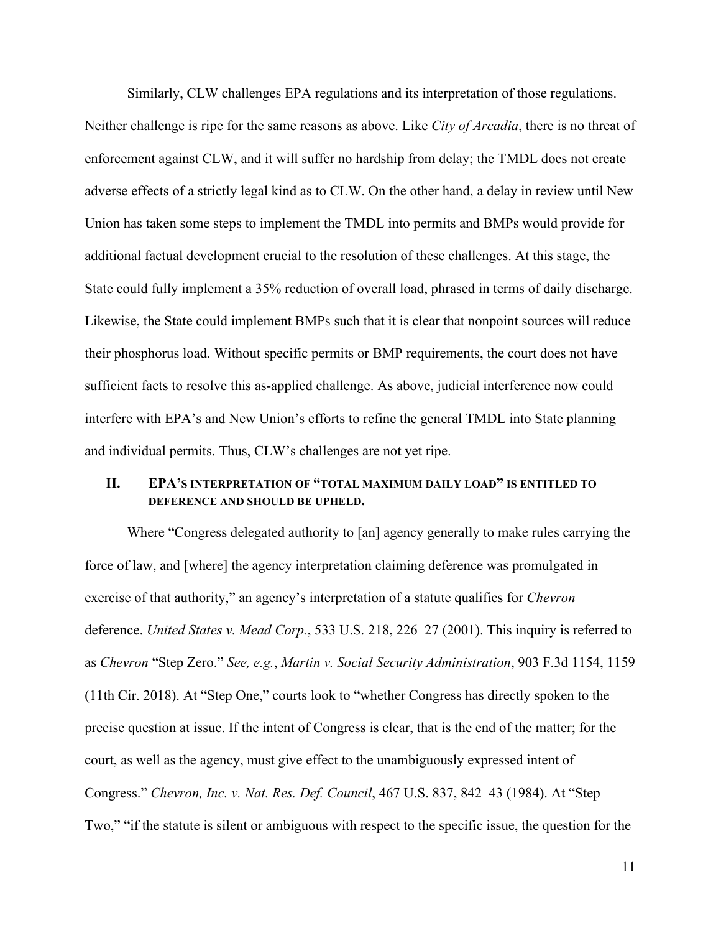Similarly, CLW challenges EPA regulations and its interpretation of those regulations. Neither challenge is ripe for the same reasons as above. Like *City of Arcadia*, there is no threat of enforcement against CLW, and it will suffer no hardship from delay; the TMDL does not create adverse effects of a strictly legal kind as to CLW. On the other hand, a delay in review until New Union has taken some steps to implement the TMDL into permits and BMPs would provide for additional factual development crucial to the resolution of these challenges. At this stage, the State could fully implement a 35% reduction of overall load, phrased in terms of daily discharge. Likewise, the State could implement BMPs such that it is clear that nonpoint sources will reduce their phosphorus load. Without specific permits or BMP requirements, the court does not have sufficient facts to resolve this as-applied challenge. As above, judicial interference now could interfere with EPA's and New Union's efforts to refine the general TMDL into State planning and individual permits. Thus, CLW's challenges are not yet ripe.

# <span id="page-15-0"></span>**II. EPA'S INTERPRETATION OF "TOTAL MAXIMUM DAILY LOAD" IS ENTITLED TO DEFERENCE AND SHOULD BE UPHELD.**

Where "Congress delegated authority to [an] agency generally to make rules carrying the force of law, and [where] the agency interpretation claiming deference was promulgated in exercise of that authority," an agency's interpretation of a statute qualifies for *Chevron* deference. *United States v. Mead Corp.*, 533 U.S. 218, 226–27 (2001). This inquiry is referred to as *Chevron* "Step Zero." *See, e.g.*, *Martin v. Social Security Administration*, 903 F.3d 1154, 1159 (11th Cir. 2018). At "Step One," courts look to "whether Congress has directly spoken to the precise question at issue. If the intent of Congress is clear, that is the end of the matter; for the court, as well as the agency, must give effect to the unambiguously expressed intent of Congress." *Chevron, Inc. v. Nat. Res. Def. Council*, 467 U.S. 837, 842–43 (1984). At "Step Two," "if the statute is silent or ambiguous with respect to the specific issue, the question for the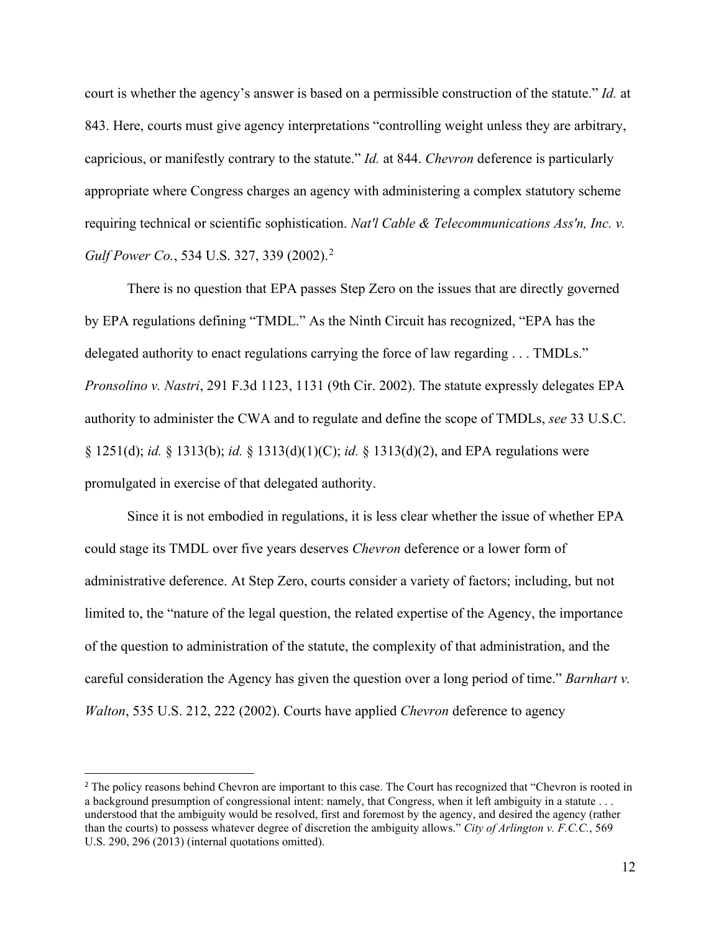court is whether the agency's answer is based on a permissible construction of the statute." *Id.* at 843. Here, courts must give agency interpretations "controlling weight unless they are arbitrary, capricious, or manifestly contrary to the statute." *Id.* at 844. *Chevron* deference is particularly appropriate where Congress charges an agency with administering a complex statutory scheme requiring technical or scientific sophistication. *Nat'l Cable & Telecommunications Ass'n, Inc. v. Gulf Power Co.*, 534 U.S. 327, 339 (2002). [2](#page-16-0)

There is no question that EPA passes Step Zero on the issues that are directly governed by EPA regulations defining "TMDL." As the Ninth Circuit has recognized, "EPA has the delegated authority to enact regulations carrying the force of law regarding . . . TMDLs." *Pronsolino v. Nastri*, 291 F.3d 1123, 1131 (9th Cir. 2002). The statute expressly delegates EPA authority to administer the CWA and to regulate and define the scope of TMDLs, *see* 33 U.S.C. § 1251(d); *id.* § 1313(b); *id.* § 1313(d)(1)(C); *id.* § 1313(d)(2), and EPA regulations were promulgated in exercise of that delegated authority.

Since it is not embodied in regulations, it is less clear whether the issue of whether EPA could stage its TMDL over five years deserves *Chevron* deference or a lower form of administrative deference. At Step Zero, courts consider a variety of factors; including, but not limited to, the "nature of the legal question, the related expertise of the Agency, the importance of the question to administration of the statute, the complexity of that administration, and the careful consideration the Agency has given the question over a long period of time." *Barnhart v. Walton*, 535 U.S. 212, 222 (2002). Courts have applied *Chevron* deference to agency

<span id="page-16-0"></span><sup>&</sup>lt;sup>2</sup> The policy reasons behind Chevron are important to this case. The Court has recognized that "Chevron is rooted in a background presumption of congressional intent: namely, that Congress, when it left ambiguity in a statute . . . understood that the ambiguity would be resolved, first and foremost by the agency, and desired the agency (rather than the courts) to possess whatever degree of discretion the ambiguity allows." *City of Arlington v. F.C.C.*, 569 U.S. 290, 296 (2013) (internal quotations omitted).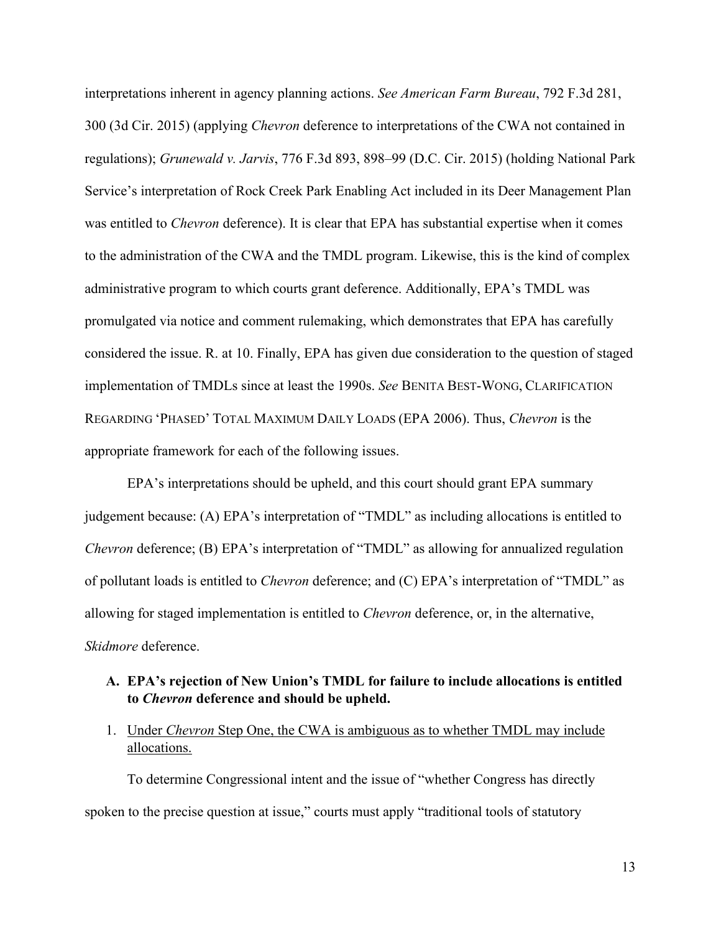interpretations inherent in agency planning actions. *See American Farm Bureau*, 792 F.3d 281, 300 (3d Cir. 2015) (applying *Chevron* deference to interpretations of the CWA not contained in regulations); *Grunewald v. Jarvis*, 776 F.3d 893, 898–99 (D.C. Cir. 2015) (holding National Park Service's interpretation of Rock Creek Park Enabling Act included in its Deer Management Plan was entitled to *Chevron* deference). It is clear that EPA has substantial expertise when it comes to the administration of the CWA and the TMDL program. Likewise, this is the kind of complex administrative program to which courts grant deference. Additionally, EPA's TMDL was promulgated via notice and comment rulemaking, which demonstrates that EPA has carefully considered the issue. R. at 10. Finally, EPA has given due consideration to the question of staged implementation of TMDLs since at least the 1990s. *See* BENITA BEST-WONG, CLARIFICATION REGARDING 'PHASED' TOTAL MAXIMUM DAILY LOADS (EPA 2006). Thus, *Chevron* is the appropriate framework for each of the following issues.

EPA's interpretations should be upheld, and this court should grant EPA summary judgement because: (A) EPA's interpretation of "TMDL" as including allocations is entitled to *Chevron* deference; (B) EPA's interpretation of "TMDL" as allowing for annualized regulation of pollutant loads is entitled to *Chevron* deference; and (C) EPA's interpretation of "TMDL" as allowing for staged implementation is entitled to *Chevron* deference, or, in the alternative, *Skidmore* deference.

## <span id="page-17-0"></span>**A. EPA's rejection of New Union's TMDL for failure to include allocations is entitled to** *Chevron* **deference and should be upheld.**

<span id="page-17-1"></span>1. Under *Chevron* Step One, the CWA is ambiguous as to whether TMDL may include allocations.

To determine Congressional intent and the issue of "whether Congress has directly spoken to the precise question at issue," courts must apply "traditional tools of statutory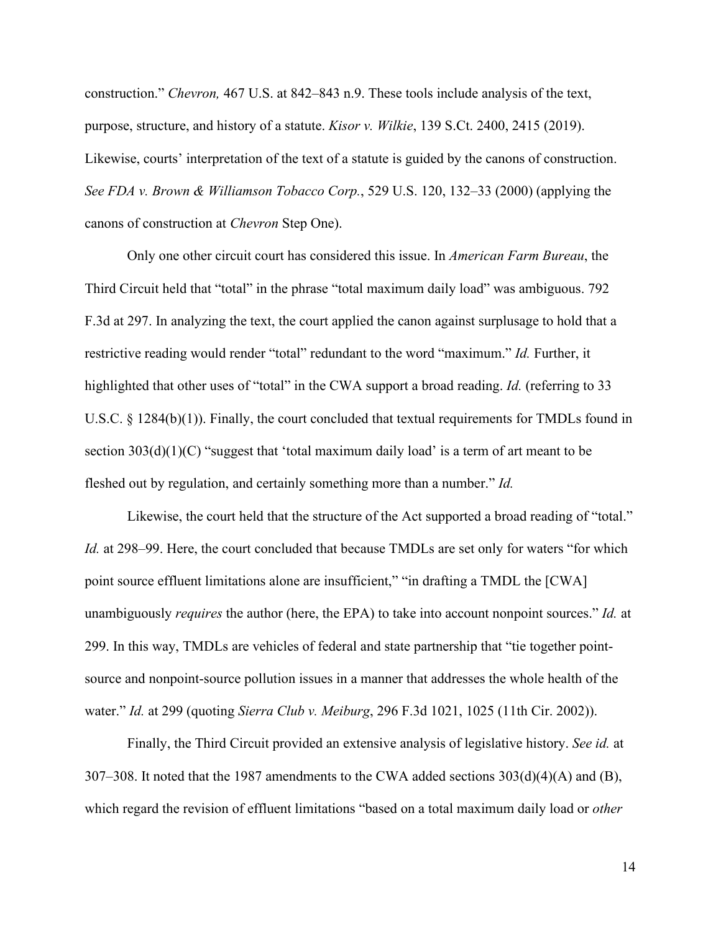construction." *Chevron,* 467 U.S. at 842–843 n.9. These tools include analysis of the text, purpose, structure, and history of a statute. *Kisor v. Wilkie*, 139 S.Ct. 2400, 2415 (2019). Likewise, courts' interpretation of the text of a statute is guided by the canons of construction. *See FDA v. Brown & Williamson Tobacco Corp.*, 529 U.S. 120, 132–33 (2000) (applying the canons of construction at *Chevron* Step One).

Only one other circuit court has considered this issue. In *American Farm Bureau*, the Third Circuit held that "total" in the phrase "total maximum daily load" was ambiguous. 792 F.3d at 297. In analyzing the text, the court applied the canon against surplusage to hold that a restrictive reading would render "total" redundant to the word "maximum." *Id.* Further, it highlighted that other uses of "total" in the CWA support a broad reading. *Id.* (referring to 33 U.S.C.  $\S$  1284(b)(1)). Finally, the court concluded that textual requirements for TMDLs found in section  $303(d)(1)(C)$  "suggest that 'total maximum daily load' is a term of art meant to be fleshed out by regulation, and certainly something more than a number." *Id.*

Likewise, the court held that the structure of the Act supported a broad reading of "total." *Id.* at 298–99. Here, the court concluded that because TMDLs are set only for waters "for which point source effluent limitations alone are insufficient," "in drafting a TMDL the [CWA] unambiguously *requires* the author (here, the EPA) to take into account nonpoint sources." *Id.* at 299. In this way, TMDLs are vehicles of federal and state partnership that "tie together pointsource and nonpoint-source pollution issues in a manner that addresses the whole health of the water." *Id.* at 299 (quoting *Sierra Club v. Meiburg*, 296 F.3d 1021, 1025 (11th Cir. 2002)).

Finally, the Third Circuit provided an extensive analysis of legislative history. *See id.* at 307–308. It noted that the 1987 amendments to the CWA added sections  $303(d)(4)(A)$  and (B), which regard the revision of effluent limitations "based on a total maximum daily load or *other*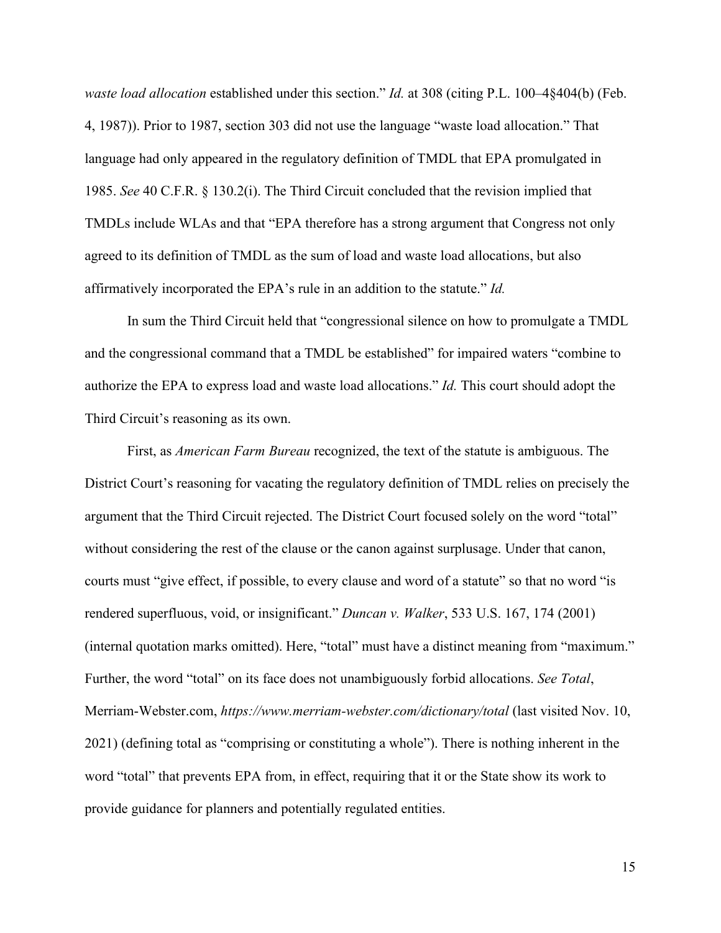*waste load allocation* established under this section." *Id.* at 308 (citing P.L. 100–4§404(b) (Feb. 4, 1987)). Prior to 1987, section 303 did not use the language "waste load allocation." That language had only appeared in the regulatory definition of TMDL that EPA promulgated in 1985. *See* 40 C.F.R. § 130.2(i). The Third Circuit concluded that the revision implied that TMDLs include WLAs and that "EPA therefore has a strong argument that Congress not only agreed to its definition of TMDL as the sum of load and waste load allocations, but also affirmatively incorporated the EPA's rule in an addition to the statute." *Id.*

In sum the Third Circuit held that "congressional silence on how to promulgate a TMDL and the congressional command that a TMDL be established" for impaired waters "combine to authorize the EPA to express load and waste load allocations." *Id.* This court should adopt the Third Circuit's reasoning as its own.

First, as *American Farm Bureau* recognized, the text of the statute is ambiguous. The District Court's reasoning for vacating the regulatory definition of TMDL relies on precisely the argument that the Third Circuit rejected. The District Court focused solely on the word "total" without considering the rest of the clause or the canon against surplusage. Under that canon, courts must "give effect, if possible, to every clause and word of a statute" so that no word "is rendered superfluous, void, or insignificant." *Duncan v. Walker*, 533 U.S. 167, 174 (2001) (internal quotation marks omitted). Here, "total" must have a distinct meaning from "maximum." Further, the word "total" on its face does not unambiguously forbid allocations. *See Total*, Merriam-Webster.com, *https://www.merriam-webster.com/dictionary/total* (last visited Nov. 10, 2021) (defining total as "comprising or constituting a whole"). There is nothing inherent in the word "total" that prevents EPA from, in effect, requiring that it or the State show its work to provide guidance for planners and potentially regulated entities.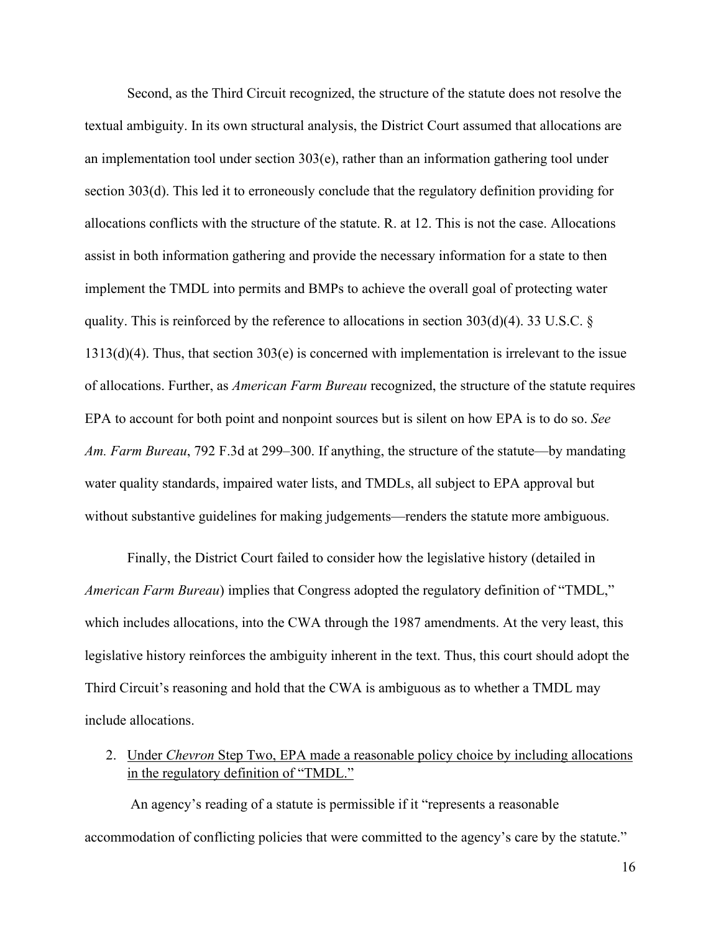Second, as the Third Circuit recognized, the structure of the statute does not resolve the textual ambiguity. In its own structural analysis, the District Court assumed that allocations are an implementation tool under section 303(e), rather than an information gathering tool under section 303(d). This led it to erroneously conclude that the regulatory definition providing for allocations conflicts with the structure of the statute. R. at 12. This is not the case. Allocations assist in both information gathering and provide the necessary information for a state to then implement the TMDL into permits and BMPs to achieve the overall goal of protecting water quality. This is reinforced by the reference to allocations in section 303(d)(4). 33 U.S.C. § 1313(d)(4). Thus, that section 303(e) is concerned with implementation is irrelevant to the issue of allocations. Further, as *American Farm Bureau* recognized, the structure of the statute requires EPA to account for both point and nonpoint sources but is silent on how EPA is to do so. *See Am. Farm Bureau*, 792 F.3d at 299–300. If anything, the structure of the statute—by mandating water quality standards, impaired water lists, and TMDLs, all subject to EPA approval but without substantive guidelines for making judgements—renders the statute more ambiguous.

Finally, the District Court failed to consider how the legislative history (detailed in *American Farm Bureau*) implies that Congress adopted the regulatory definition of "TMDL," which includes allocations, into the CWA through the 1987 amendments. At the very least, this legislative history reinforces the ambiguity inherent in the text. Thus, this court should adopt the Third Circuit's reasoning and hold that the CWA is ambiguous as to whether a TMDL may include allocations.

<span id="page-20-0"></span>2. Under *Chevron* Step Two, EPA made a reasonable policy choice by including allocations in the regulatory definition of "TMDL."

An agency's reading of a statute is permissible if it "represents a reasonable accommodation of conflicting policies that were committed to the agency's care by the statute."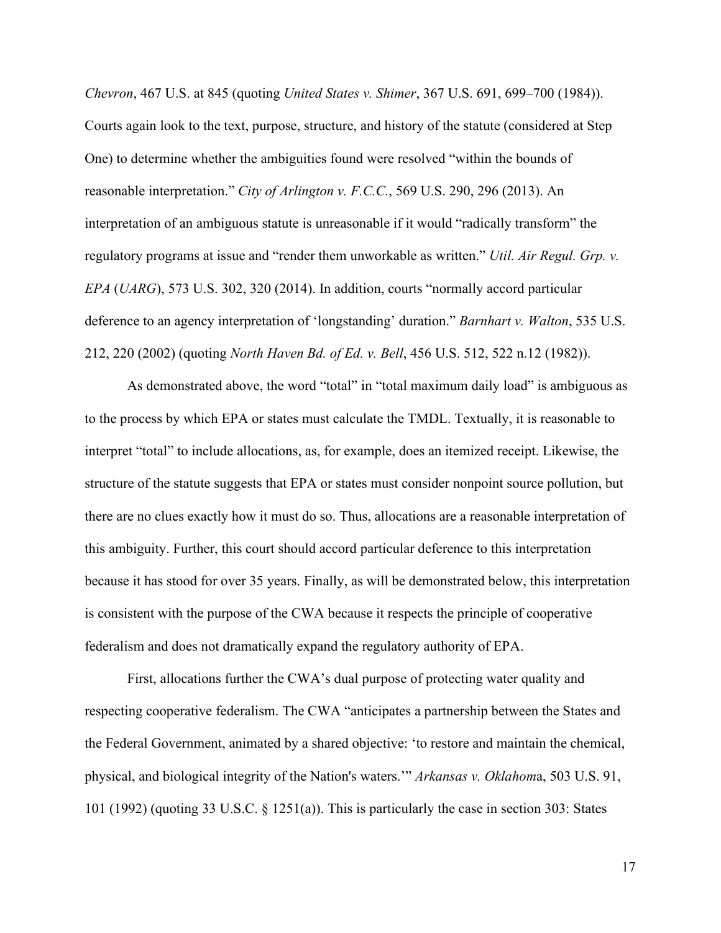*Chevron*, 467 U.S. at 845 (quoting *United States v. Shimer*, 367 U.S. 691, 699–700 (1984)). Courts again look to the text, purpose, structure, and history of the statute (considered at Step One) to determine whether the ambiguities found were resolved "within the bounds of reasonable interpretation." *City of Arlington v. F.C.C.*, 569 U.S. 290, 296 (2013). An interpretation of an ambiguous statute is unreasonable if it would "radically transform" the regulatory programs at issue and "render them unworkable as written." *Util. Air Regul. Grp. v. EPA* (*UARG*), 573 U.S. 302, 320 (2014). In addition, courts "normally accord particular deference to an agency interpretation of 'longstanding' duration." *Barnhart v. Walton*, 535 U.S. 212, 220 (2002) (quoting *North Haven Bd. of Ed. v. Bell*, 456 U.S. 512, 522 n.12 (1982)).

As demonstrated above, the word "total" in "total maximum daily load" is ambiguous as to the process by which EPA or states must calculate the TMDL. Textually, it is reasonable to interpret "total" to include allocations, as, for example, does an itemized receipt. Likewise, the structure of the statute suggests that EPA or states must consider nonpoint source pollution, but there are no clues exactly how it must do so. Thus, allocations are a reasonable interpretation of this ambiguity. Further, this court should accord particular deference to this interpretation because it has stood for over 35 years. Finally, as will be demonstrated below, this interpretation is consistent with the purpose of the CWA because it respects the principle of cooperative federalism and does not dramatically expand the regulatory authority of EPA.

First, allocations further the CWA's dual purpose of protecting water quality and respecting cooperative federalism. The CWA "anticipates a partnership between the States and the Federal Government, animated by a shared objective: 'to restore and maintain the chemical, physical, and biological integrity of the Nation's waters.'" *Arkansas v. Oklahom*a, 503 U.S. 91, 101 (1992) (quoting 33 U.S.C. § 1251(a)). This is particularly the case in section 303: States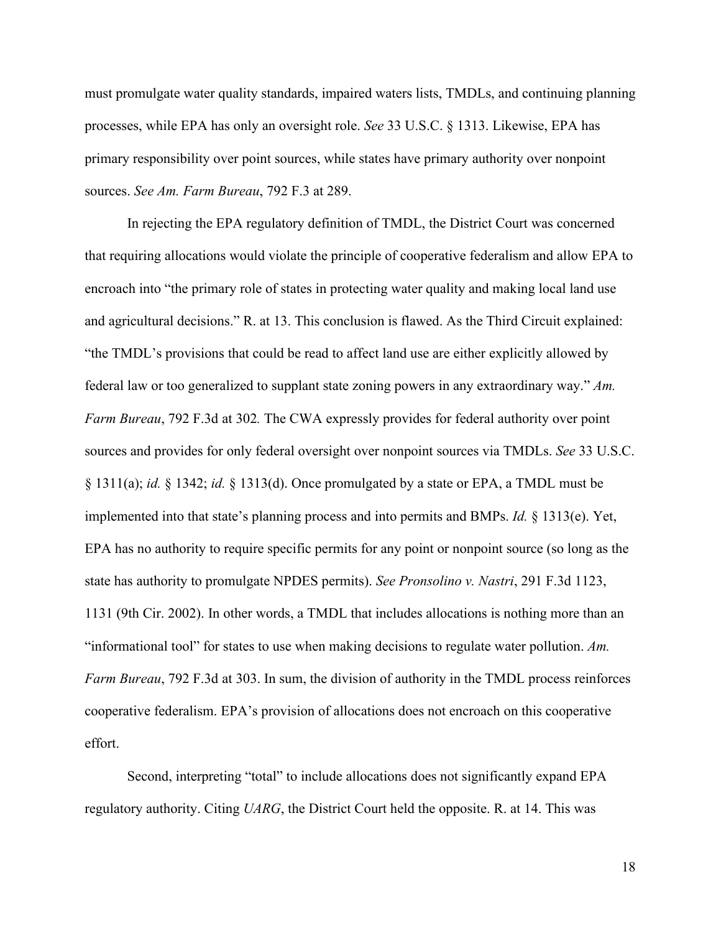must promulgate water quality standards, impaired waters lists, TMDLs, and continuing planning processes, while EPA has only an oversight role. *See* 33 U.S.C. § 1313. Likewise, EPA has primary responsibility over point sources, while states have primary authority over nonpoint sources. *See Am. Farm Bureau*, 792 F.3 at 289.

In rejecting the EPA regulatory definition of TMDL, the District Court was concerned that requiring allocations would violate the principle of cooperative federalism and allow EPA to encroach into "the primary role of states in protecting water quality and making local land use and agricultural decisions." R. at 13. This conclusion is flawed. As the Third Circuit explained: "the TMDL's provisions that could be read to affect land use are either explicitly allowed by federal law or too generalized to supplant state zoning powers in any extraordinary way." *Am. Farm Bureau*, 792 F.3d at 302*.* The CWA expressly provides for federal authority over point sources and provides for only federal oversight over nonpoint sources via TMDLs. *See* 33 U.S.C. § 1311(a); *id.* § 1342; *id.* § 1313(d). Once promulgated by a state or EPA, a TMDL must be implemented into that state's planning process and into permits and BMPs. *Id.* § 1313(e). Yet, EPA has no authority to require specific permits for any point or nonpoint source (so long as the state has authority to promulgate NPDES permits). *See Pronsolino v. Nastri*, 291 F.3d 1123, 1131 (9th Cir. 2002). In other words, a TMDL that includes allocations is nothing more than an "informational tool" for states to use when making decisions to regulate water pollution. *Am. Farm Bureau*, 792 F.3d at 303. In sum, the division of authority in the TMDL process reinforces cooperative federalism. EPA's provision of allocations does not encroach on this cooperative effort.

Second, interpreting "total" to include allocations does not significantly expand EPA regulatory authority. Citing *UARG*, the District Court held the opposite. R. at 14. This was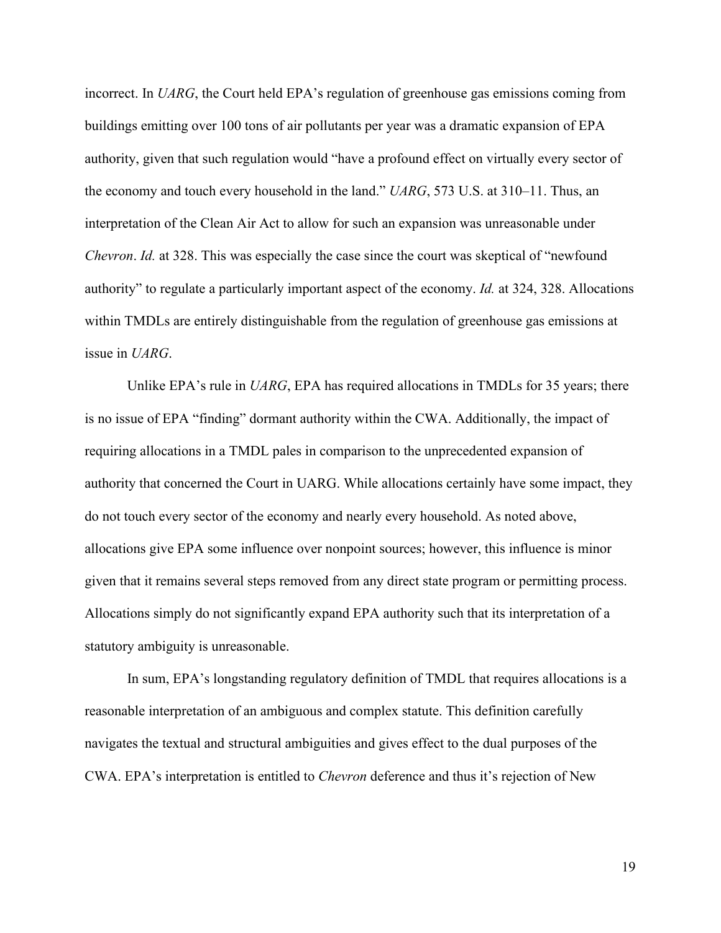incorrect. In *UARG*, the Court held EPA's regulation of greenhouse gas emissions coming from buildings emitting over 100 tons of air pollutants per year was a dramatic expansion of EPA authority, given that such regulation would "have a profound effect on virtually every sector of the economy and touch every household in the land." *UARG*, 573 U.S. at 310–11. Thus, an interpretation of the Clean Air Act to allow for such an expansion was unreasonable under *Chevron*. *Id.* at 328. This was especially the case since the court was skeptical of "newfound authority" to regulate a particularly important aspect of the economy. *Id.* at 324, 328. Allocations within TMDLs are entirely distinguishable from the regulation of greenhouse gas emissions at issue in *UARG*.

Unlike EPA's rule in *UARG*, EPA has required allocations in TMDLs for 35 years; there is no issue of EPA "finding" dormant authority within the CWA. Additionally, the impact of requiring allocations in a TMDL pales in comparison to the unprecedented expansion of authority that concerned the Court in UARG. While allocations certainly have some impact, they do not touch every sector of the economy and nearly every household. As noted above, allocations give EPA some influence over nonpoint sources; however, this influence is minor given that it remains several steps removed from any direct state program or permitting process. Allocations simply do not significantly expand EPA authority such that its interpretation of a statutory ambiguity is unreasonable.

In sum, EPA's longstanding regulatory definition of TMDL that requires allocations is a reasonable interpretation of an ambiguous and complex statute. This definition carefully navigates the textual and structural ambiguities and gives effect to the dual purposes of the CWA. EPA's interpretation is entitled to *Chevron* deference and thus it's rejection of New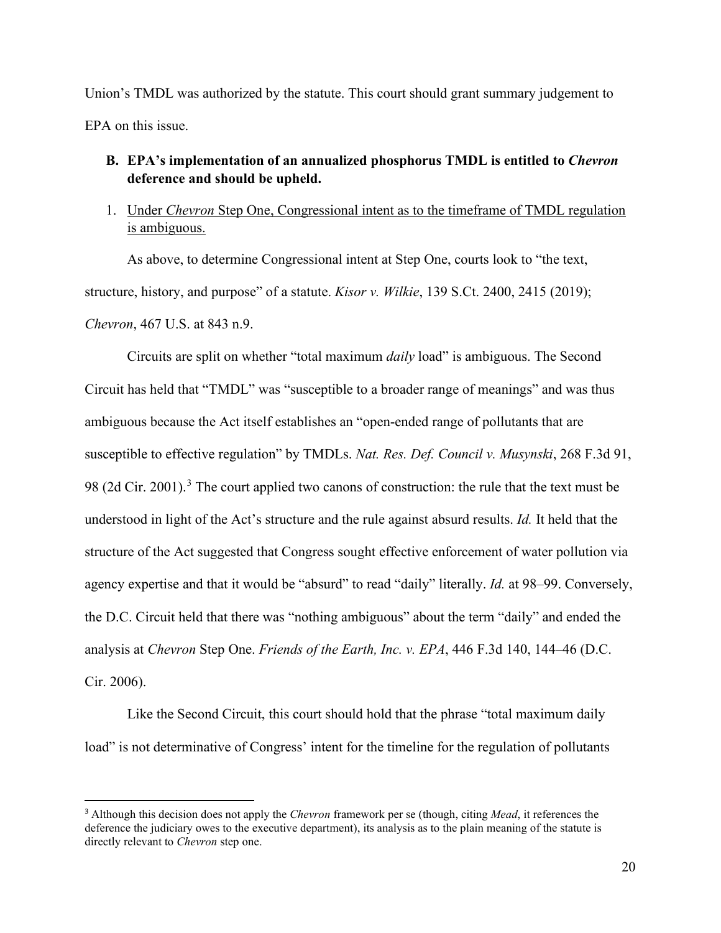Union's TMDL was authorized by the statute. This court should grant summary judgement to EPA on this issue.

## <span id="page-24-0"></span>**B. EPA's implementation of an annualized phosphorus TMDL is entitled to** *Chevron* **deference and should be upheld.**

<span id="page-24-1"></span>1. Under *Chevron* Step One, Congressional intent as to the timeframe of TMDL regulation is ambiguous.

As above, to determine Congressional intent at Step One, courts look to "the text, structure, history, and purpose" of a statute. *Kisor v. Wilkie*, 139 S.Ct. 2400, 2415 (2019); *Chevron*, 467 U.S. at 843 n.9.

Circuits are split on whether "total maximum *daily* load" is ambiguous. The Second Circuit has held that "TMDL" was "susceptible to a broader range of meanings" and was thus ambiguous because the Act itself establishes an "open-ended range of pollutants that are susceptible to effective regulation" by TMDLs. *Nat. Res. Def. Council v. Musynski*, 268 F.3d 91, 98 (2d Cir. 2001).<sup>[3](#page-24-2)</sup> The court applied two canons of construction: the rule that the text must be understood in light of the Act's structure and the rule against absurd results. *Id.* It held that the structure of the Act suggested that Congress sought effective enforcement of water pollution via agency expertise and that it would be "absurd" to read "daily" literally. *Id.* at 98–99. Conversely, the D.C. Circuit held that there was "nothing ambiguous" about the term "daily" and ended the analysis at *Chevron* Step One. *Friends of the Earth, Inc. v. EPA*, 446 F.3d 140, 144–46 (D.C. Cir. 2006).

Like the Second Circuit, this court should hold that the phrase "total maximum daily load" is not determinative of Congress' intent for the timeline for the regulation of pollutants

<span id="page-24-2"></span><sup>3</sup> Although this decision does not apply the *Chevron* framework per se (though, citing *Mead*, it references the deference the judiciary owes to the executive department), its analysis as to the plain meaning of the statute is directly relevant to *Chevron* step one.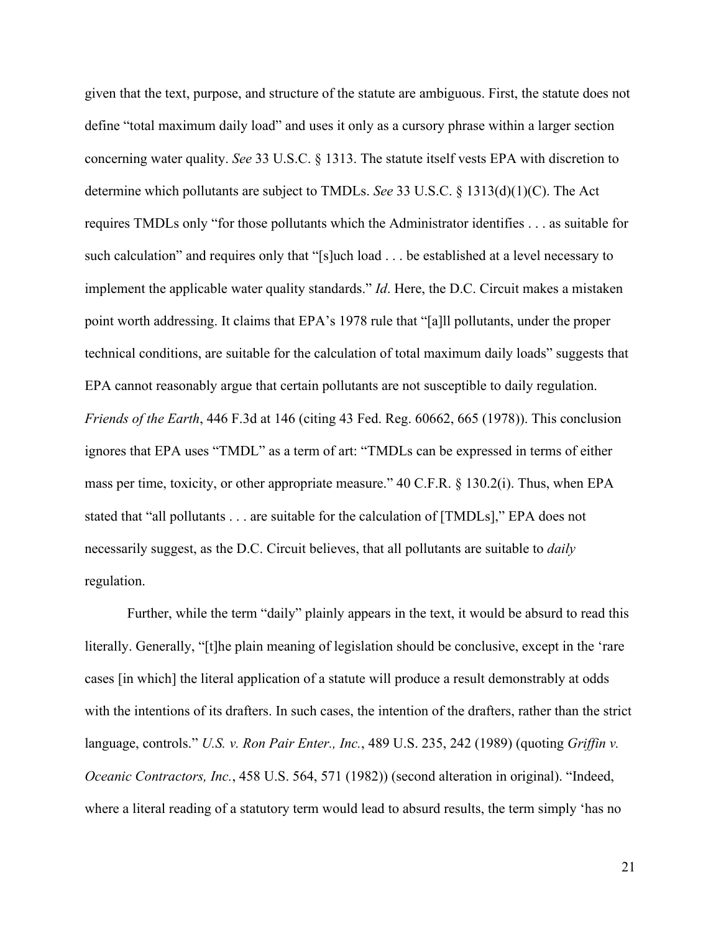given that the text, purpose, and structure of the statute are ambiguous. First, the statute does not define "total maximum daily load" and uses it only as a cursory phrase within a larger section concerning water quality. *See* 33 U.S.C. § 1313. The statute itself vests EPA with discretion to determine which pollutants are subject to TMDLs. *See* 33 U.S.C. § 1313(d)(1)(C). The Act requires TMDLs only "for those pollutants which the Administrator identifies . . . as suitable for such calculation" and requires only that "[s]uch load . . . be established at a level necessary to implement the applicable water quality standards." *Id*. Here, the D.C. Circuit makes a mistaken point worth addressing. It claims that EPA's 1978 rule that "[a]ll pollutants, under the proper technical conditions, are suitable for the calculation of total maximum daily loads" suggests that EPA cannot reasonably argue that certain pollutants are not susceptible to daily regulation. *Friends of the Earth*, 446 F.3d at 146 (citing 43 Fed. Reg. 60662, 665 (1978)). This conclusion ignores that EPA uses "TMDL" as a term of art: "TMDLs can be expressed in terms of either mass per time, toxicity, or other appropriate measure." 40 C.F.R. § 130.2(i). Thus, when EPA stated that "all pollutants . . . are suitable for the calculation of [TMDLs]," EPA does not necessarily suggest, as the D.C. Circuit believes, that all pollutants are suitable to *daily* regulation.

Further, while the term "daily" plainly appears in the text, it would be absurd to read this literally. Generally, "[t]he plain meaning of legislation should be conclusive, except in the 'rare cases [in which] the literal application of a statute will produce a result demonstrably at odds with the intentions of its drafters. In such cases, the intention of the drafters, rather than the strict language, controls." *U.S. v. Ron Pair Enter., Inc.*, 489 U.S. 235, 242 (1989) (quoting *Griffin v. Oceanic Contractors, Inc.*, 458 U.S. 564, 571 (1982)) (second alteration in original). "Indeed, where a literal reading of a statutory term would lead to absurd results, the term simply 'has no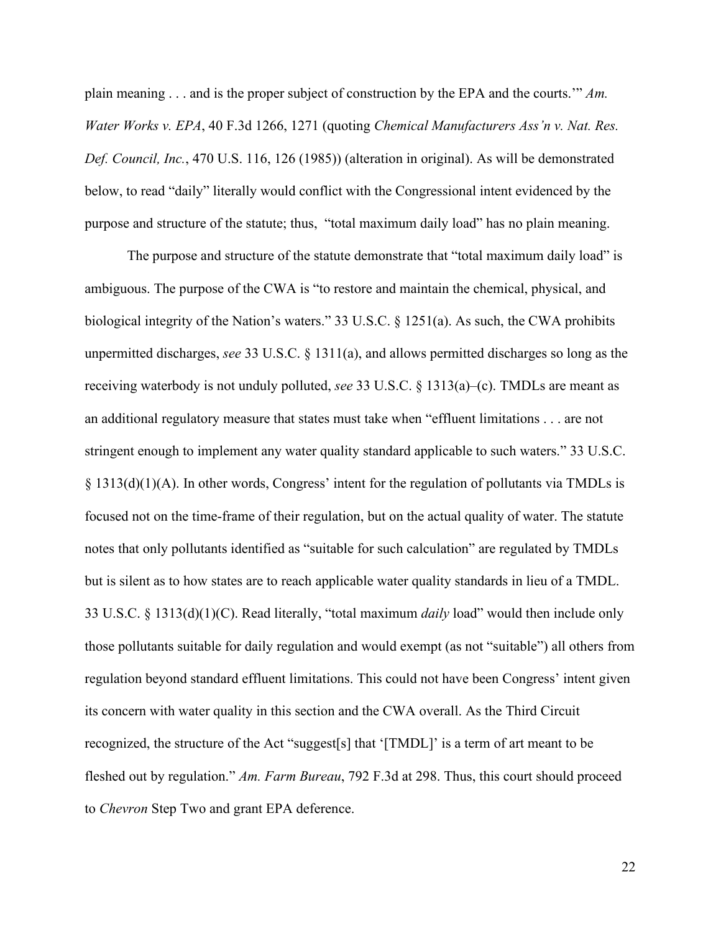plain meaning . . . and is the proper subject of construction by the EPA and the courts.'" *Am. Water Works v. EPA*, 40 F.3d 1266, 1271 (quoting *Chemical Manufacturers Ass'n v. Nat. Res. Def. Council, Inc.*, 470 U.S. 116, 126 (1985)) (alteration in original). As will be demonstrated below, to read "daily" literally would conflict with the Congressional intent evidenced by the purpose and structure of the statute; thus, "total maximum daily load" has no plain meaning.

The purpose and structure of the statute demonstrate that "total maximum daily load" is ambiguous. The purpose of the CWA is "to restore and maintain the chemical, physical, and biological integrity of the Nation's waters." 33 U.S.C. § 1251(a). As such, the CWA prohibits unpermitted discharges, *see* 33 U.S.C. § 1311(a), and allows permitted discharges so long as the receiving waterbody is not unduly polluted, *see* 33 U.S.C. § 1313(a)–(c). TMDLs are meant as an additional regulatory measure that states must take when "effluent limitations . . . are not stringent enough to implement any water quality standard applicable to such waters." 33 U.S.C. § 1313(d)(1)(A). In other words, Congress' intent for the regulation of pollutants via TMDLs is focused not on the time-frame of their regulation, but on the actual quality of water. The statute notes that only pollutants identified as "suitable for such calculation" are regulated by TMDLs but is silent as to how states are to reach applicable water quality standards in lieu of a TMDL. 33 U.S.C. § 1313(d)(1)(C). Read literally, "total maximum *daily* load" would then include only those pollutants suitable for daily regulation and would exempt (as not "suitable") all others from regulation beyond standard effluent limitations. This could not have been Congress' intent given its concern with water quality in this section and the CWA overall. As the Third Circuit recognized, the structure of the Act "suggest[s] that '[TMDL]' is a term of art meant to be fleshed out by regulation." *Am. Farm Bureau*, 792 F.3d at 298. Thus, this court should proceed to *Chevron* Step Two and grant EPA deference.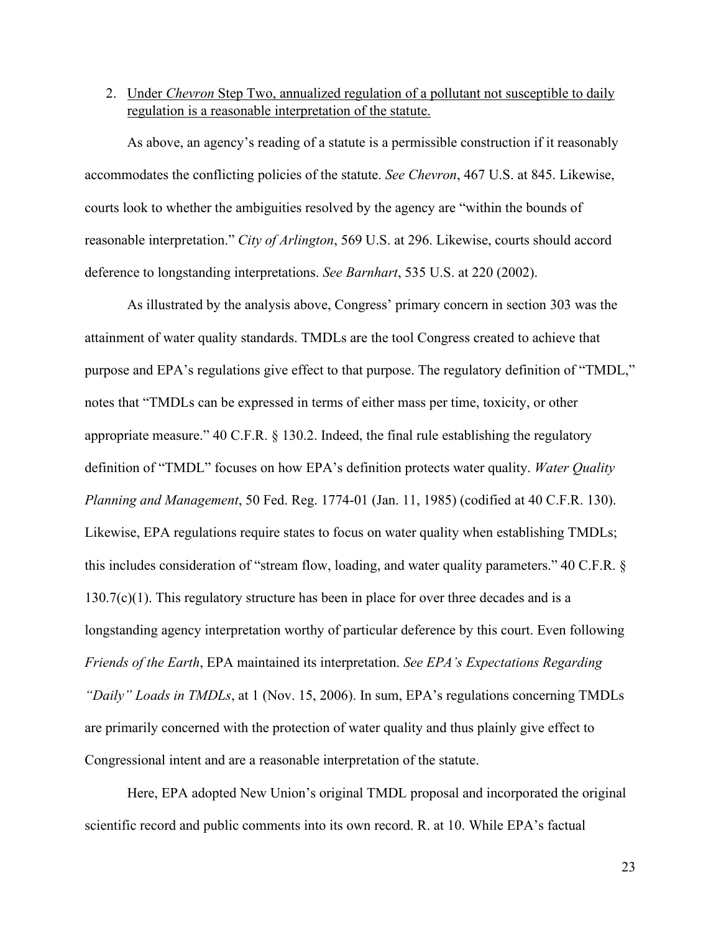<span id="page-27-0"></span>2. Under *Chevron* Step Two, annualized regulation of a pollutant not susceptible to daily regulation is a reasonable interpretation of the statute.

As above, an agency's reading of a statute is a permissible construction if it reasonably accommodates the conflicting policies of the statute. *See Chevron*, 467 U.S. at 845. Likewise, courts look to whether the ambiguities resolved by the agency are "within the bounds of reasonable interpretation." *City of Arlington*, 569 U.S. at 296. Likewise, courts should accord deference to longstanding interpretations. *See Barnhart*, 535 U.S. at 220 (2002).

As illustrated by the analysis above, Congress' primary concern in section 303 was the attainment of water quality standards. TMDLs are the tool Congress created to achieve that purpose and EPA's regulations give effect to that purpose. The regulatory definition of "TMDL," notes that "TMDLs can be expressed in terms of either mass per time, toxicity, or other appropriate measure." 40 C.F.R. § 130.2. Indeed, the final rule establishing the regulatory definition of "TMDL" focuses on how EPA's definition protects water quality. *Water Quality Planning and Management*, 50 Fed. Reg. 1774-01 (Jan. 11, 1985) (codified at 40 C.F.R. 130). Likewise, EPA regulations require states to focus on water quality when establishing TMDLs; this includes consideration of "stream flow, loading, and water quality parameters." 40 C.F.R. §  $130.7(c)(1)$ . This regulatory structure has been in place for over three decades and is a longstanding agency interpretation worthy of particular deference by this court. Even following *Friends of the Earth*, EPA maintained its interpretation. *See EPA's Expectations Regarding "Daily" Loads in TMDLs*, at 1 (Nov. 15, 2006). In sum, EPA's regulations concerning TMDLs are primarily concerned with the protection of water quality and thus plainly give effect to Congressional intent and are a reasonable interpretation of the statute.

Here, EPA adopted New Union's original TMDL proposal and incorporated the original scientific record and public comments into its own record. R. at 10. While EPA's factual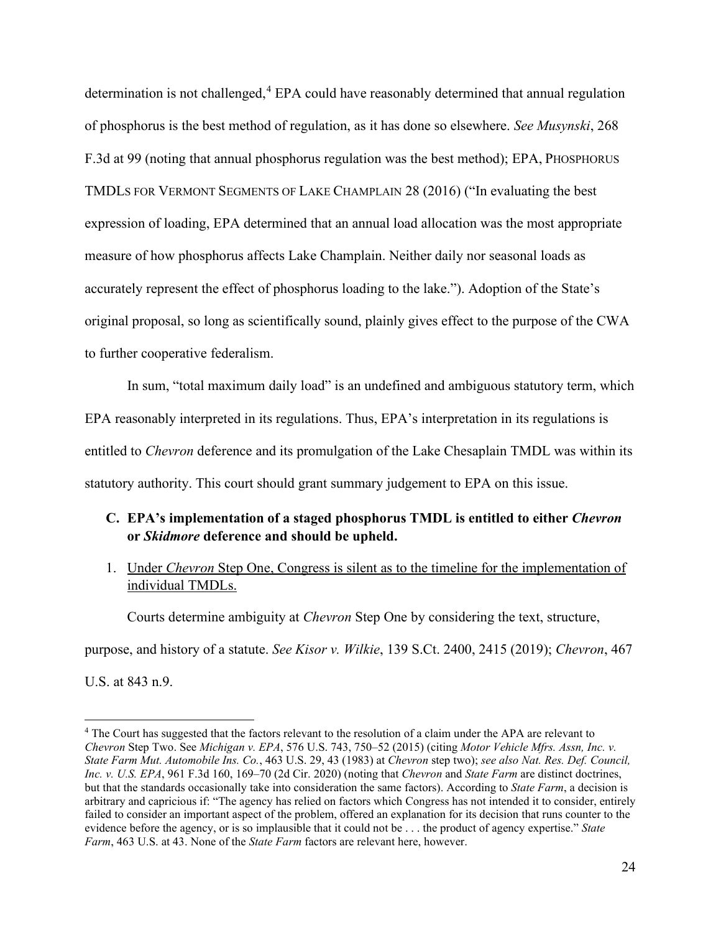determination is not challenged, [4](#page-28-2) EPA could have reasonably determined that annual regulation of phosphorus is the best method of regulation, as it has done so elsewhere. *See Musynski*, 268 F.3d at 99 (noting that annual phosphorus regulation was the best method); EPA, PHOSPHORUS TMDLS FOR VERMONT SEGMENTS OF LAKE CHAMPLAIN 28 (2016) ("In evaluating the best expression of loading, EPA determined that an annual load allocation was the most appropriate measure of how phosphorus affects Lake Champlain. Neither daily nor seasonal loads as accurately represent the effect of phosphorus loading to the lake."). Adoption of the State's original proposal, so long as scientifically sound, plainly gives effect to the purpose of the CWA to further cooperative federalism.

In sum, "total maximum daily load" is an undefined and ambiguous statutory term, which EPA reasonably interpreted in its regulations. Thus, EPA's interpretation in its regulations is entitled to *Chevron* deference and its promulgation of the Lake Chesaplain TMDL was within its statutory authority. This court should grant summary judgement to EPA on this issue.

## <span id="page-28-0"></span>**C. EPA's implementation of a staged phosphorus TMDL is entitled to either** *Chevron* **or** *Skidmore* **deference and should be upheld.**

<span id="page-28-1"></span>1. Under *Chevron* Step One, Congress is silent as to the timeline for the implementation of individual TMDLs.

Courts determine ambiguity at *Chevron* Step One by considering the text, structure,

purpose, and history of a statute. *See Kisor v. Wilkie*, 139 S.Ct. 2400, 2415 (2019); *Chevron*, 467

U.S. at 843 n.9.

<span id="page-28-2"></span><sup>&</sup>lt;sup>4</sup> The Court has suggested that the factors relevant to the resolution of a claim under the APA are relevant to *Chevron* Step Two. See *Michigan v. EPA*, 576 U.S. 743, 750–52 (2015) (citing *Motor Vehicle Mfrs. Assn, Inc. v. State Farm Mut. Automobile Ins. Co.*, 463 U.S. 29, 43 (1983) at *Chevron* step two); *see also Nat. Res. Def. Council, Inc. v. U.S. EPA*, 961 F.3d 160, 169–70 (2d Cir. 2020) (noting that *Chevron* and *State Farm* are distinct doctrines, but that the standards occasionally take into consideration the same factors). According to *State Farm*, a decision is arbitrary and capricious if: "The agency has relied on factors which Congress has not intended it to consider, entirely failed to consider an important aspect of the problem, offered an explanation for its decision that runs counter to the evidence before the agency, or is so implausible that it could not be . . . the product of agency expertise." *State Farm*, 463 U.S. at 43. None of the *State Farm* factors are relevant here, however.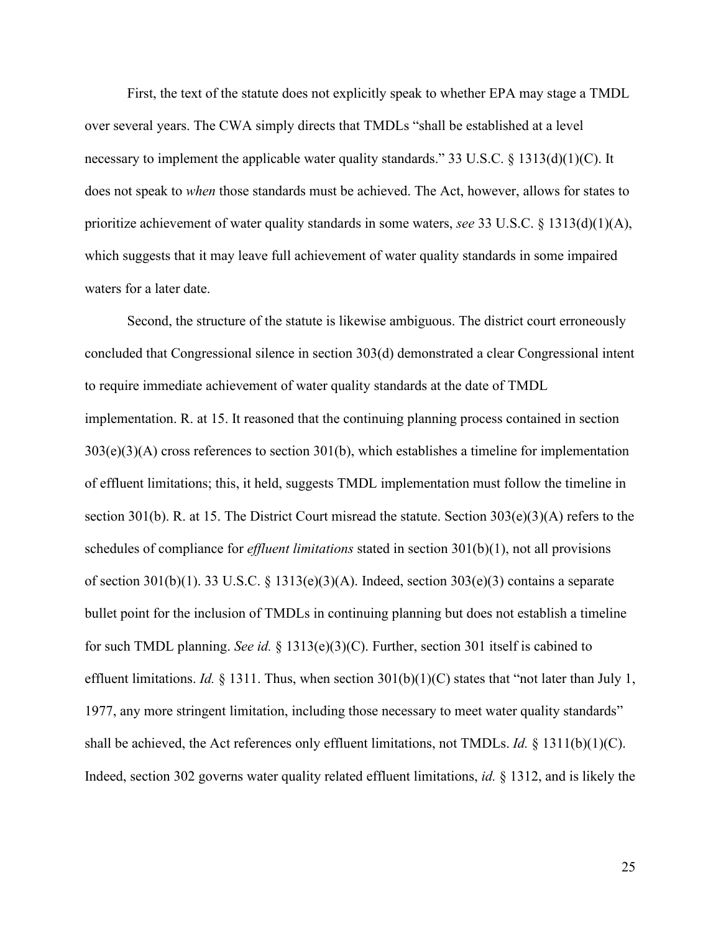First, the text of the statute does not explicitly speak to whether EPA may stage a TMDL over several years. The CWA simply directs that TMDLs "shall be established at a level necessary to implement the applicable water quality standards." 33 U.S.C. § 1313(d)(1)(C). It does not speak to *when* those standards must be achieved. The Act, however, allows for states to prioritize achievement of water quality standards in some waters, *see* 33 U.S.C. § 1313(d)(1)(A), which suggests that it may leave full achievement of water quality standards in some impaired waters for a later date.

Second, the structure of the statute is likewise ambiguous. The district court erroneously concluded that Congressional silence in section 303(d) demonstrated a clear Congressional intent to require immediate achievement of water quality standards at the date of TMDL implementation. R. at 15. It reasoned that the continuing planning process contained in section 303(e)(3)(A) cross references to section 301(b), which establishes a timeline for implementation of effluent limitations; this, it held, suggests TMDL implementation must follow the timeline in section 301(b). R. at 15. The District Court misread the statute. Section  $303(e)(3)(A)$  refers to the schedules of compliance for *effluent limitations* stated in section 301(b)(1), not all provisions of section 301(b)(1). 33 U.S.C.  $\S$  1313(e)(3)(A). Indeed, section 303(e)(3) contains a separate bullet point for the inclusion of TMDLs in continuing planning but does not establish a timeline for such TMDL planning. *See id.* § 1313(e)(3)(C). Further, section 301 itself is cabined to effluent limitations. *Id.*  $\S$  1311. Thus, when section 301(b)(1)(C) states that "not later than July 1, 1977, any more stringent limitation, including those necessary to meet water quality standards" shall be achieved, the Act references only effluent limitations, not TMDLs. *Id.* § 1311(b)(1)(C). Indeed, section 302 governs water quality related effluent limitations, *id.* § 1312, and is likely the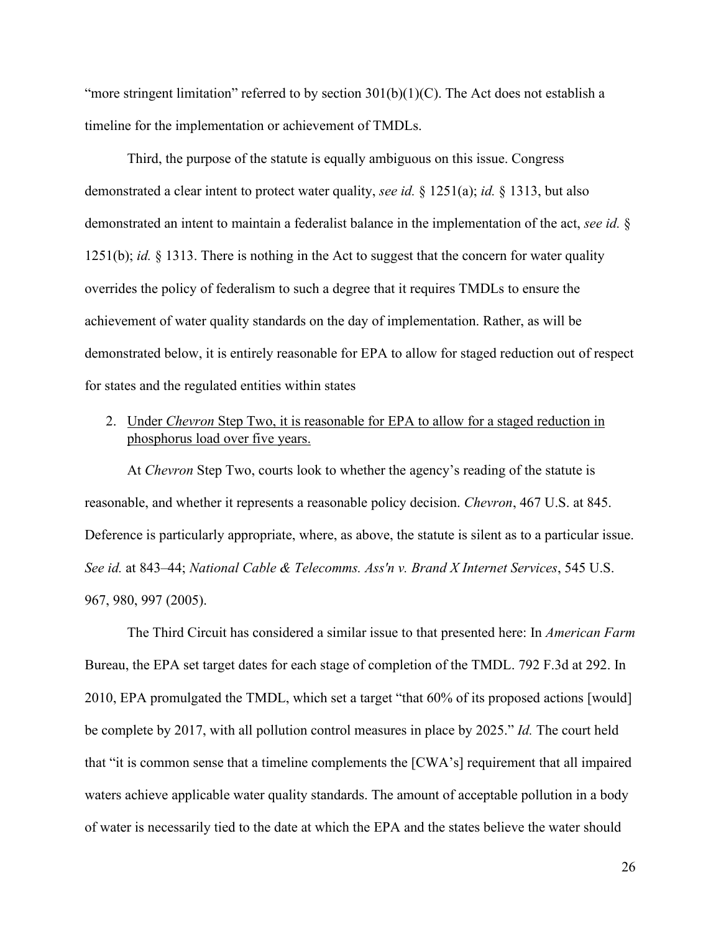"more stringent limitation" referred to by section  $301(b)(1)(C)$ . The Act does not establish a timeline for the implementation or achievement of TMDLs.

Third, the purpose of the statute is equally ambiguous on this issue. Congress demonstrated a clear intent to protect water quality, *see id.* § 1251(a); *id.* § 1313, but also demonstrated an intent to maintain a federalist balance in the implementation of the act, *see id.* § 1251(b); *id.* § 1313. There is nothing in the Act to suggest that the concern for water quality overrides the policy of federalism to such a degree that it requires TMDLs to ensure the achievement of water quality standards on the day of implementation. Rather, as will be demonstrated below, it is entirely reasonable for EPA to allow for staged reduction out of respect for states and the regulated entities within states

## <span id="page-30-0"></span>2. Under *Chevron* Step Two, it is reasonable for EPA to allow for a staged reduction in phosphorus load over five years.

At *Chevron* Step Two, courts look to whether the agency's reading of the statute is reasonable, and whether it represents a reasonable policy decision. *Chevron*, 467 U.S. at 845. Deference is particularly appropriate, where, as above, the statute is silent as to a particular issue. *See id.* at 843–44; *National Cable & Telecomms. Ass'n v. Brand X Internet Services*, 545 U.S. 967, 980, 997 (2005).

The Third Circuit has considered a similar issue to that presented here: In *American Farm*  Bureau, the EPA set target dates for each stage of completion of the TMDL. 792 F.3d at 292. In 2010, EPA promulgated the TMDL, which set a target "that 60% of its proposed actions [would] be complete by 2017, with all pollution control measures in place by 2025." *Id.* The court held that "it is common sense that a timeline complements the [CWA's] requirement that all impaired waters achieve applicable water quality standards. The amount of acceptable pollution in a body of water is necessarily tied to the date at which the EPA and the states believe the water should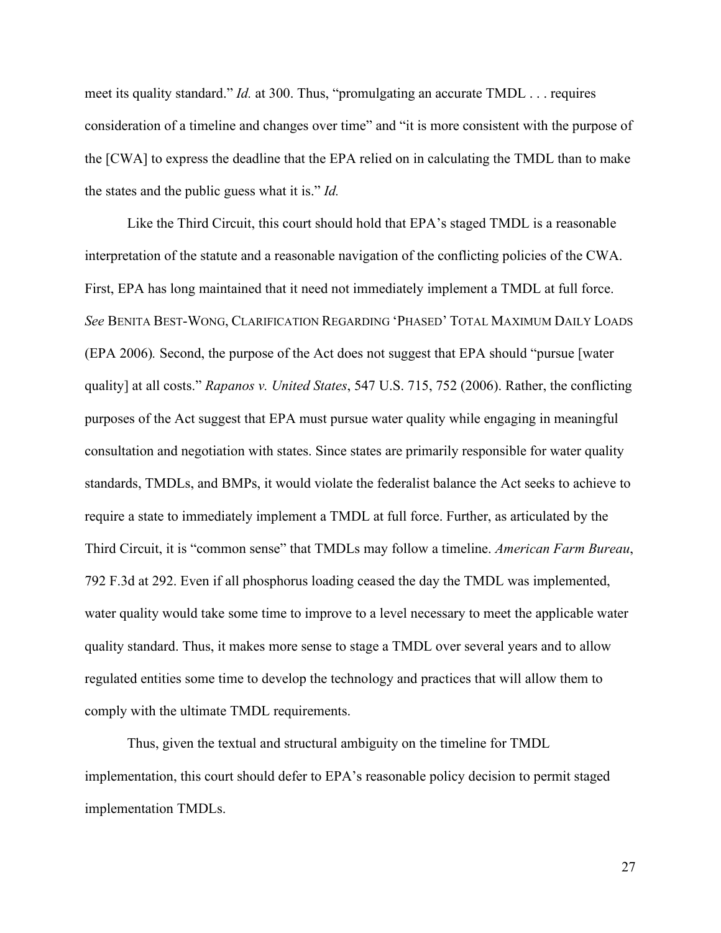meet its quality standard." *Id.* at 300. Thus, "promulgating an accurate TMDL . . . requires consideration of a timeline and changes over time" and "it is more consistent with the purpose of the [CWA] to express the deadline that the EPA relied on in calculating the TMDL than to make the states and the public guess what it is." *Id.*

Like the Third Circuit, this court should hold that EPA's staged TMDL is a reasonable interpretation of the statute and a reasonable navigation of the conflicting policies of the CWA. First, EPA has long maintained that it need not immediately implement a TMDL at full force. *See* BENITA BEST-WONG, CLARIFICATION REGARDING 'PHASED' TOTAL MAXIMUM DAILY LOADS (EPA 2006)*.* Second, the purpose of the Act does not suggest that EPA should "pursue [water quality] at all costs." *Rapanos v. United States*, 547 U.S. 715, 752 (2006). Rather, the conflicting purposes of the Act suggest that EPA must pursue water quality while engaging in meaningful consultation and negotiation with states. Since states are primarily responsible for water quality standards, TMDLs, and BMPs, it would violate the federalist balance the Act seeks to achieve to require a state to immediately implement a TMDL at full force. Further, as articulated by the Third Circuit, it is "common sense" that TMDLs may follow a timeline. *American Farm Bureau*, 792 F.3d at 292. Even if all phosphorus loading ceased the day the TMDL was implemented, water quality would take some time to improve to a level necessary to meet the applicable water quality standard. Thus, it makes more sense to stage a TMDL over several years and to allow regulated entities some time to develop the technology and practices that will allow them to comply with the ultimate TMDL requirements.

Thus, given the textual and structural ambiguity on the timeline for TMDL implementation, this court should defer to EPA's reasonable policy decision to permit staged implementation TMDLs.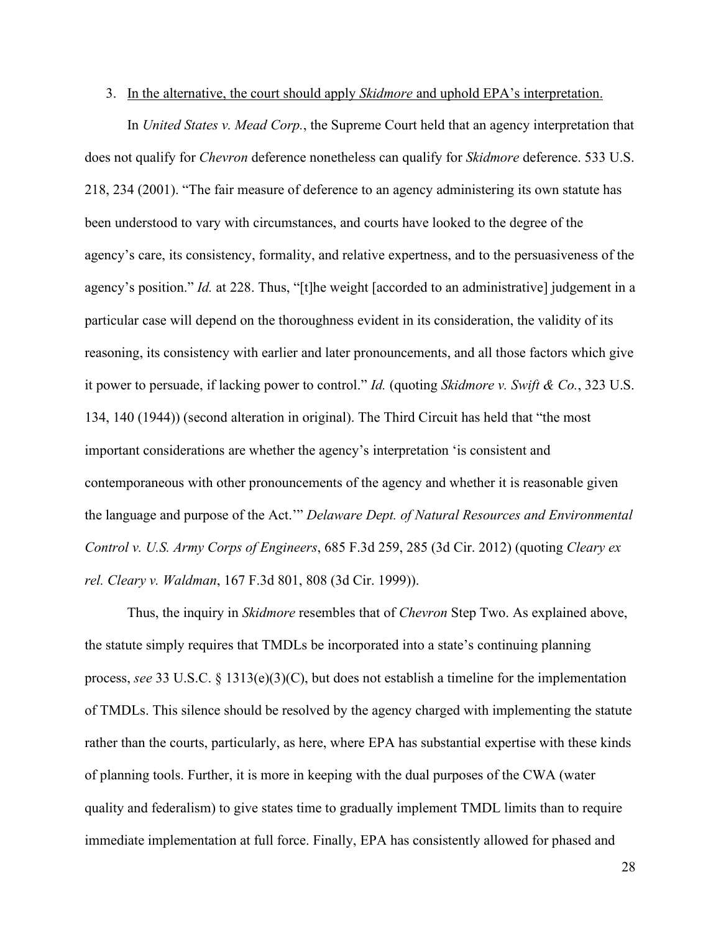#### <span id="page-32-0"></span>3. In the alternative, the court should apply *Skidmore* and uphold EPA's interpretation.

In *United States v. Mead Corp.*, the Supreme Court held that an agency interpretation that does not qualify for *Chevron* deference nonetheless can qualify for *Skidmore* deference. 533 U.S. 218, 234 (2001). "The fair measure of deference to an agency administering its own statute has been understood to vary with circumstances, and courts have looked to the degree of the agency's care, its consistency, formality, and relative expertness, and to the persuasiveness of the agency's position." *Id.* at 228. Thus, "[t]he weight [accorded to an administrative] judgement in a particular case will depend on the thoroughness evident in its consideration, the validity of its reasoning, its consistency with earlier and later pronouncements, and all those factors which give it power to persuade, if lacking power to control." *Id.* (quoting *Skidmore v. Swift & Co.*, 323 U.S. 134, 140 (1944)) (second alteration in original). The Third Circuit has held that "the most important considerations are whether the agency's interpretation 'is consistent and contemporaneous with other pronouncements of the agency and whether it is reasonable given the language and purpose of the Act.'" *Delaware Dept. of Natural Resources and Environmental Control v. U.S. Army Corps of Engineers*, 685 F.3d 259, 285 (3d Cir. 2012) (quoting *Cleary ex rel. Cleary v. Waldman*, 167 F.3d 801, 808 (3d Cir. 1999)).

Thus, the inquiry in *Skidmore* resembles that of *Chevron* Step Two. As explained above, the statute simply requires that TMDLs be incorporated into a state's continuing planning process, *see* 33 U.S.C. § 1313(e)(3)(C), but does not establish a timeline for the implementation of TMDLs. This silence should be resolved by the agency charged with implementing the statute rather than the courts, particularly, as here, where EPA has substantial expertise with these kinds of planning tools. Further, it is more in keeping with the dual purposes of the CWA (water quality and federalism) to give states time to gradually implement TMDL limits than to require immediate implementation at full force. Finally, EPA has consistently allowed for phased and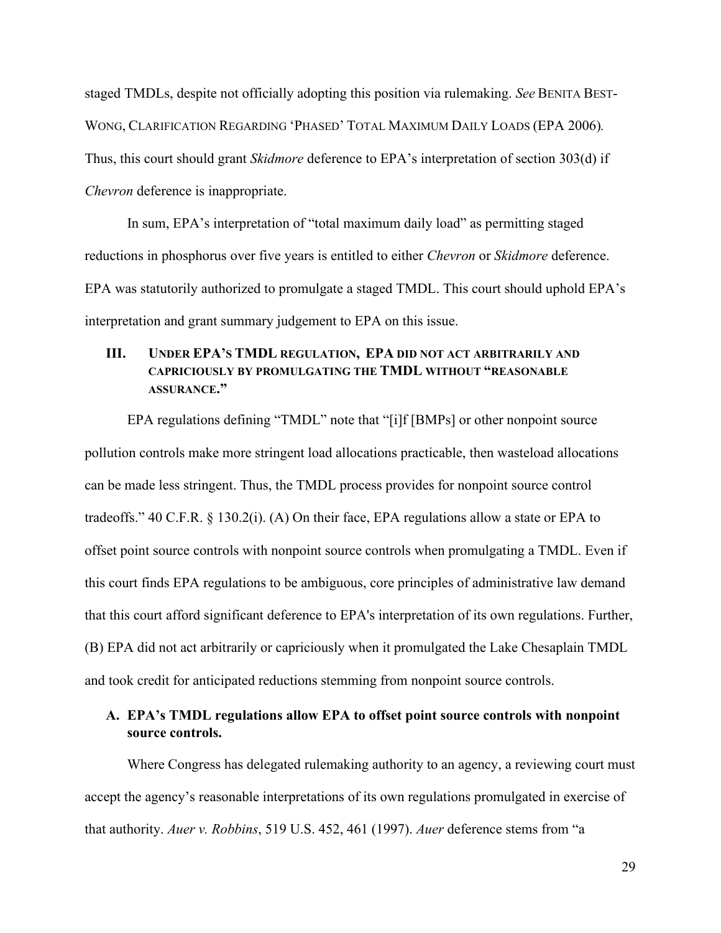staged TMDLs, despite not officially adopting this position via rulemaking. *See* BENITA BEST-WONG, CLARIFICATION REGARDING 'PHASED' TOTAL MAXIMUM DAILY LOADS (EPA 2006)*.* Thus, this court should grant *Skidmore* deference to EPA's interpretation of section 303(d) if *Chevron* deference is inappropriate.

In sum, EPA's interpretation of "total maximum daily load" as permitting staged reductions in phosphorus over five years is entitled to either *Chevron* or *Skidmore* deference. EPA was statutorily authorized to promulgate a staged TMDL. This court should uphold EPA's interpretation and grant summary judgement to EPA on this issue.

## <span id="page-33-0"></span>**III. UNDER EPA'S TMDL REGULATION, EPA DID NOT ACT ARBITRARILY AND CAPRICIOUSLY BY PROMULGATING THE TMDL WITHOUT "REASONABLE ASSURANCE."**

EPA regulations defining "TMDL" note that "[i]f [BMPs] or other nonpoint source pollution controls make more stringent load allocations practicable, then wasteload allocations can be made less stringent. Thus, the TMDL process provides for nonpoint source control tradeoffs." 40 C.F.R. § 130.2(i). (A) On their face, EPA regulations allow a state or EPA to offset point source controls with nonpoint source controls when promulgating a TMDL. Even if this court finds EPA regulations to be ambiguous, core principles of administrative law demand that this court afford significant deference to EPA's interpretation of its own regulations. Further, (B) EPA did not act arbitrarily or capriciously when it promulgated the Lake Chesaplain TMDL and took credit for anticipated reductions stemming from nonpoint source controls.

## <span id="page-33-1"></span>**A. EPA's TMDL regulations allow EPA to offset point source controls with nonpoint source controls.**

Where Congress has delegated rulemaking authority to an agency, a reviewing court must accept the agency's reasonable interpretations of its own regulations promulgated in exercise of that authority. *Auer v. Robbins*, 519 U.S. 452, 461 (1997). *Auer* deference stems from "a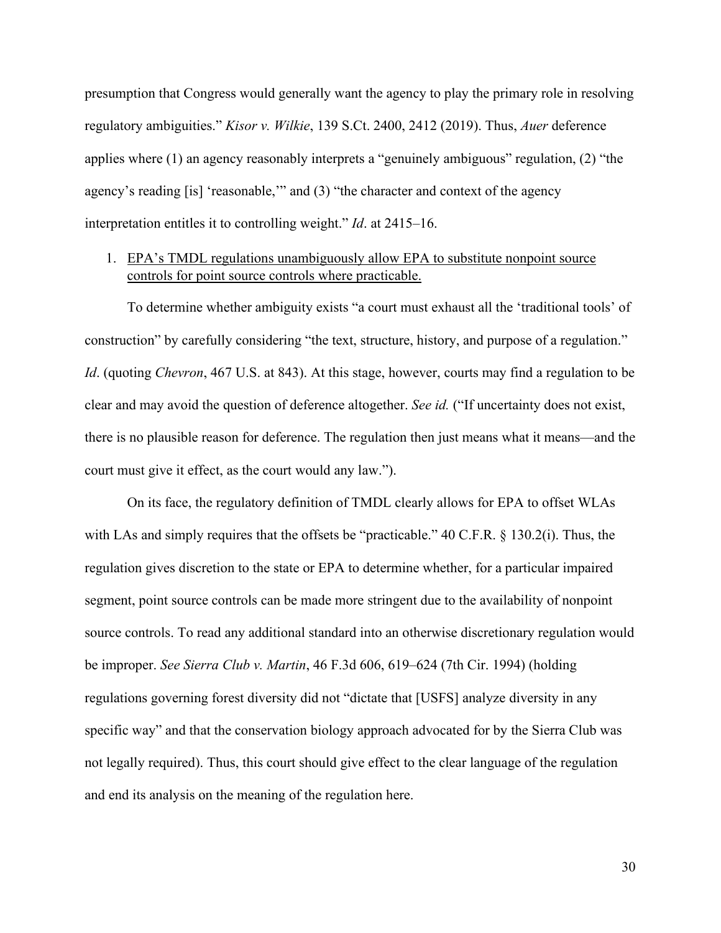presumption that Congress would generally want the agency to play the primary role in resolving regulatory ambiguities." *Kisor v. Wilkie*, 139 S.Ct. 2400, 2412 (2019). Thus, *Auer* deference applies where (1) an agency reasonably interprets a "genuinely ambiguous" regulation, (2) "the agency's reading [is] 'reasonable,'" and (3) "the character and context of the agency interpretation entitles it to controlling weight." *Id*. at 2415–16.

## <span id="page-34-0"></span>1. EPA's TMDL regulations unambiguously allow EPA to substitute nonpoint source controls for point source controls where practicable.

To determine whether ambiguity exists "a court must exhaust all the 'traditional tools' of construction" by carefully considering "the text, structure, history, and purpose of a regulation." *Id*. (quoting *Chevron*, 467 U.S. at 843). At this stage, however, courts may find a regulation to be clear and may avoid the question of deference altogether. *See id.* ("If uncertainty does not exist, there is no plausible reason for deference. The regulation then just means what it means—and the court must give it effect, as the court would any law.").

On its face, the regulatory definition of TMDL clearly allows for EPA to offset WLAs with LAs and simply requires that the offsets be "practicable." 40 C.F.R. § 130.2(i). Thus, the regulation gives discretion to the state or EPA to determine whether, for a particular impaired segment, point source controls can be made more stringent due to the availability of nonpoint source controls. To read any additional standard into an otherwise discretionary regulation would be improper. *See Sierra Club v. Martin*, 46 F.3d 606, 619–624 (7th Cir. 1994) (holding regulations governing forest diversity did not "dictate that [USFS] analyze diversity in any specific way" and that the conservation biology approach advocated for by the Sierra Club was not legally required). Thus, this court should give effect to the clear language of the regulation and end its analysis on the meaning of the regulation here.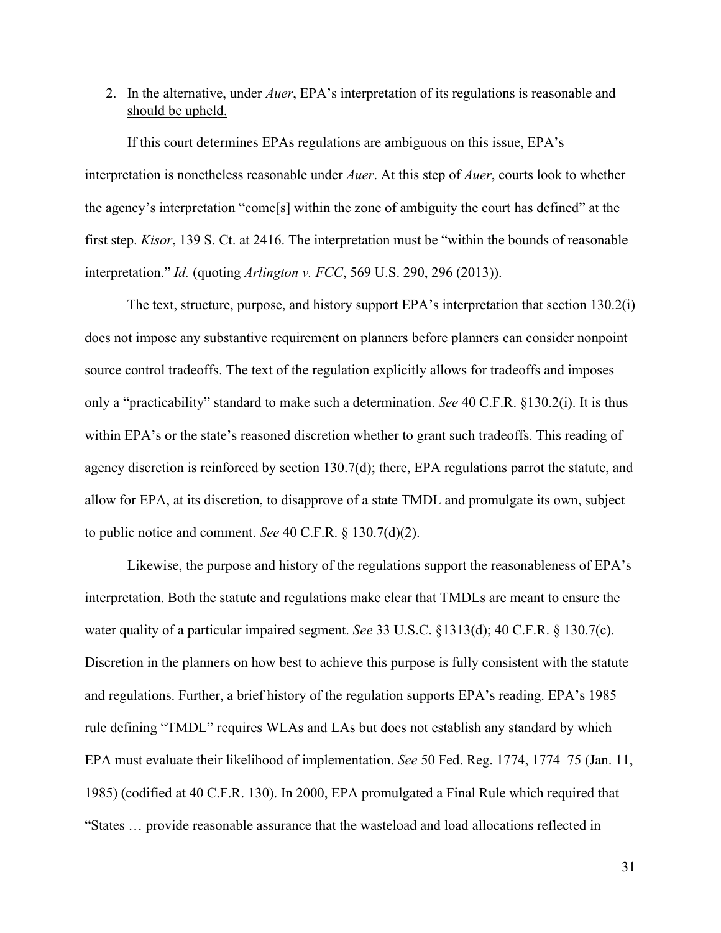## <span id="page-35-0"></span>2. In the alternative, under *Auer*, EPA's interpretation of its regulations is reasonable and should be upheld.

If this court determines EPAs regulations are ambiguous on this issue, EPA's interpretation is nonetheless reasonable under *Auer*. At this step of *Auer*, courts look to whether the agency's interpretation "come[s] within the zone of ambiguity the court has defined" at the first step. *Kisor*, 139 S. Ct. at 2416. The interpretation must be "within the bounds of reasonable interpretation." *Id.* (quoting *Arlington v. FCC*, 569 U.S. 290, 296 (2013)).

The text, structure, purpose, and history support EPA's interpretation that section 130.2(i) does not impose any substantive requirement on planners before planners can consider nonpoint source control tradeoffs. The text of the regulation explicitly allows for tradeoffs and imposes only a "practicability" standard to make such a determination. *See* 40 C.F.R. §130.2(i). It is thus within EPA's or the state's reasoned discretion whether to grant such tradeoffs. This reading of agency discretion is reinforced by section 130.7(d); there, EPA regulations parrot the statute, and allow for EPA, at its discretion, to disapprove of a state TMDL and promulgate its own, subject to public notice and comment. *See* 40 C.F.R. § 130.7(d)(2).

Likewise, the purpose and history of the regulations support the reasonableness of EPA's interpretation. Both the statute and regulations make clear that TMDLs are meant to ensure the water quality of a particular impaired segment. *See* 33 U.S.C. §1313(d); 40 C.F.R. § 130.7(c). Discretion in the planners on how best to achieve this purpose is fully consistent with the statute and regulations. Further, a brief history of the regulation supports EPA's reading. EPA's 1985 rule defining "TMDL" requires WLAs and LAs but does not establish any standard by which EPA must evaluate their likelihood of implementation. *See* 50 Fed. Reg. 1774, 1774–75 (Jan. 11, 1985) (codified at 40 C.F.R. 130). In 2000, EPA promulgated a Final Rule which required that "States … provide reasonable assurance that the wasteload and load allocations reflected in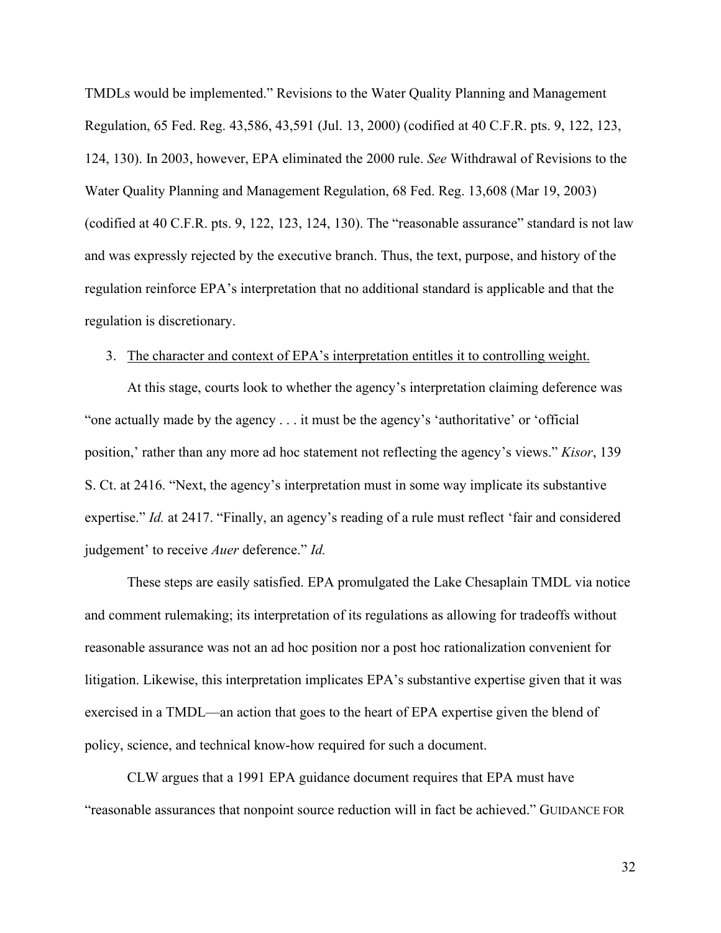TMDLs would be implemented." Revisions to the Water Quality Planning and Management Regulation, 65 Fed. Reg. 43,586, 43,591 (Jul. 13, 2000) (codified at 40 C.F.R. pts. 9, 122, 123, 124, 130). In 2003, however, EPA eliminated the 2000 rule. *See* Withdrawal of Revisions to the Water Quality Planning and Management Regulation, 68 Fed. Reg. 13,608 (Mar 19, 2003) (codified at 40 C.F.R. pts. 9, 122, 123, 124, 130). The "reasonable assurance" standard is not law and was expressly rejected by the executive branch. Thus, the text, purpose, and history of the regulation reinforce EPA's interpretation that no additional standard is applicable and that the regulation is discretionary.

### <span id="page-36-0"></span>3. The character and context of EPA's interpretation entitles it to controlling weight.

At this stage, courts look to whether the agency's interpretation claiming deference was "one actually made by the agency . . . it must be the agency's 'authoritative' or 'official position,' rather than any more ad hoc statement not reflecting the agency's views." *Kisor*, 139 S. Ct. at 2416. "Next, the agency's interpretation must in some way implicate its substantive expertise." *Id.* at 2417. "Finally, an agency's reading of a rule must reflect 'fair and considered judgement' to receive *Auer* deference." *Id.*

These steps are easily satisfied. EPA promulgated the Lake Chesaplain TMDL via notice and comment rulemaking; its interpretation of its regulations as allowing for tradeoffs without reasonable assurance was not an ad hoc position nor a post hoc rationalization convenient for litigation. Likewise, this interpretation implicates EPA's substantive expertise given that it was exercised in a TMDL—an action that goes to the heart of EPA expertise given the blend of policy, science, and technical know-how required for such a document.

CLW argues that a 1991 EPA guidance document requires that EPA must have "reasonable assurances that nonpoint source reduction will in fact be achieved." GUIDANCE FOR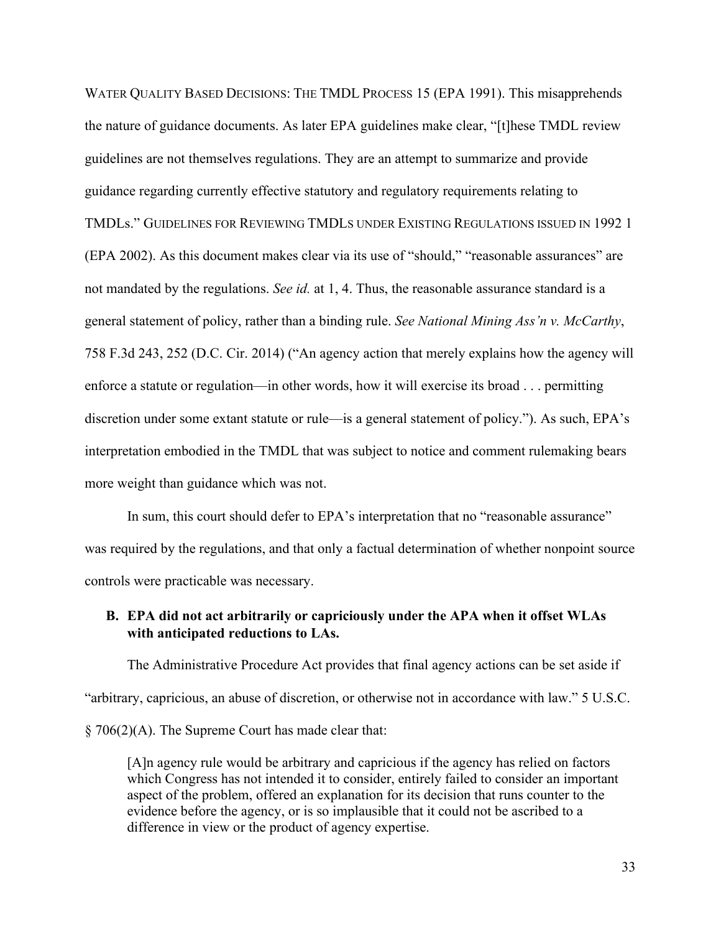WATER QUALITY BASED DECISIONS: THE TMDL PROCESS 15 (EPA 1991). This misapprehends the nature of guidance documents. As later EPA guidelines make clear, "[t]hese TMDL review guidelines are not themselves regulations. They are an attempt to summarize and provide guidance regarding currently effective statutory and regulatory requirements relating to TMDLs." GUIDELINES FOR REVIEWING TMDLS UNDER EXISTING REGULATIONS ISSUED IN 1992 1 (EPA 2002). As this document makes clear via its use of "should," "reasonable assurances" are not mandated by the regulations. *See id.* at 1, 4. Thus, the reasonable assurance standard is a general statement of policy, rather than a binding rule. *See National Mining Ass'n v. McCarthy*, 758 F.3d 243, 252 (D.C. Cir. 2014) ("An agency action that merely explains how the agency will enforce a statute or regulation—in other words, how it will exercise its broad . . . permitting discretion under some extant statute or rule—is a general statement of policy."). As such, EPA's interpretation embodied in the TMDL that was subject to notice and comment rulemaking bears more weight than guidance which was not.

In sum, this court should defer to EPA's interpretation that no "reasonable assurance" was required by the regulations, and that only a factual determination of whether nonpoint source controls were practicable was necessary.

## <span id="page-37-0"></span>**B. EPA did not act arbitrarily or capriciously under the APA when it offset WLAs with anticipated reductions to LAs.**

The Administrative Procedure Act provides that final agency actions can be set aside if "arbitrary, capricious, an abuse of discretion, or otherwise not in accordance with law." 5 U.S.C. § 706(2)(A). The Supreme Court has made clear that:

[A]n agency rule would be arbitrary and capricious if the agency has relied on factors which Congress has not intended it to consider, entirely failed to consider an important aspect of the problem, offered an explanation for its decision that runs counter to the evidence before the agency, or is so implausible that it could not be ascribed to a difference in view or the product of agency expertise.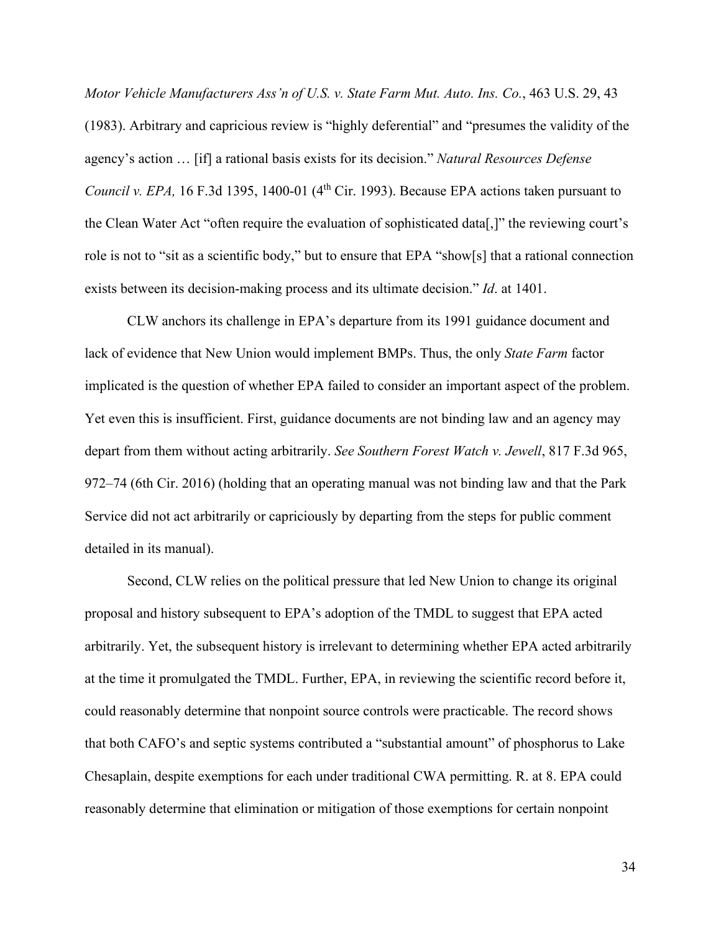*Motor Vehicle Manufacturers Ass'n of U.S. v. State Farm Mut. Auto. Ins. Co.*, 463 U.S. 29, 43 (1983). Arbitrary and capricious review is "highly deferential" and "presumes the validity of the agency's action … [if] a rational basis exists for its decision." *Natural Resources Defense Council v. EPA,* 16 F.3d 1395, 1400-01 (4<sup>th</sup> Cir. 1993). Because EPA actions taken pursuant to the Clean Water Act "often require the evaluation of sophisticated data[,]" the reviewing court's role is not to "sit as a scientific body," but to ensure that EPA "show[s] that a rational connection exists between its decision-making process and its ultimate decision." *Id*. at 1401.

CLW anchors its challenge in EPA's departure from its 1991 guidance document and lack of evidence that New Union would implement BMPs. Thus, the only *State Farm* factor implicated is the question of whether EPA failed to consider an important aspect of the problem. Yet even this is insufficient. First, guidance documents are not binding law and an agency may depart from them without acting arbitrarily. *See Southern Forest Watch v. Jewell*, 817 F.3d 965, 972–74 (6th Cir. 2016) (holding that an operating manual was not binding law and that the Park Service did not act arbitrarily or capriciously by departing from the steps for public comment detailed in its manual).

Second, CLW relies on the political pressure that led New Union to change its original proposal and history subsequent to EPA's adoption of the TMDL to suggest that EPA acted arbitrarily. Yet, the subsequent history is irrelevant to determining whether EPA acted arbitrarily at the time it promulgated the TMDL. Further, EPA, in reviewing the scientific record before it, could reasonably determine that nonpoint source controls were practicable. The record shows that both CAFO's and septic systems contributed a "substantial amount" of phosphorus to Lake Chesaplain, despite exemptions for each under traditional CWA permitting. R. at 8. EPA could reasonably determine that elimination or mitigation of those exemptions for certain nonpoint